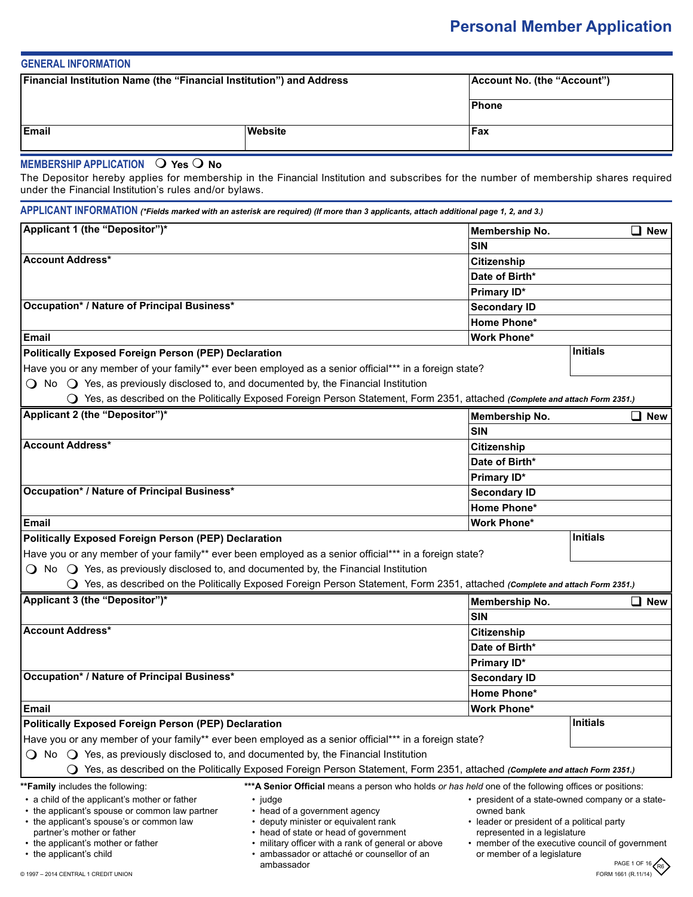# **Personal Member Application**

| <b>GENERAL INFORMATION</b>                                                  |         |                             |
|-----------------------------------------------------------------------------|---------|-----------------------------|
| <b>Financial Institution Name (the "Financial Institution") and Address</b> |         | Account No. (the "Account") |
|                                                                             |         | Phone                       |
| <b>Email</b>                                                                | Website | <b>Fax</b>                  |
| MEMBERGHID ADDI ICATION $\bigcap$ Vec $\bigcap$ No.                         |         |                             |

# **MEMBERSHIP APPLICATION**  $\cup$  Yes  $\cup$  No

The Depositor hereby applies for membership in the Financial Institution and subscribes for the number of membership shares required under the Financial Institution's rules and/or bylaws.

| Applicant 1 (the "Depositor")*                                                                         |                                                                                                                               | Membership No.                             | $\square$ New                                                   |
|--------------------------------------------------------------------------------------------------------|-------------------------------------------------------------------------------------------------------------------------------|--------------------------------------------|-----------------------------------------------------------------|
|                                                                                                        |                                                                                                                               | <b>SIN</b>                                 |                                                                 |
| <b>Account Address*</b>                                                                                |                                                                                                                               | <b>Citizenship</b>                         |                                                                 |
|                                                                                                        |                                                                                                                               | Date of Birth*                             |                                                                 |
|                                                                                                        |                                                                                                                               | Primary ID*                                |                                                                 |
| Occupation* / Nature of Principal Business*                                                            |                                                                                                                               | <b>Secondary ID</b>                        |                                                                 |
|                                                                                                        |                                                                                                                               | Home Phone*                                |                                                                 |
| Email                                                                                                  |                                                                                                                               | <b>Work Phone*</b>                         |                                                                 |
| <b>Politically Exposed Foreign Person (PEP) Declaration</b>                                            |                                                                                                                               |                                            | <b>Initials</b>                                                 |
|                                                                                                        | Have you or any member of your family** ever been employed as a senior official*** in a foreign state?                        |                                            |                                                                 |
| $\bigcirc$ No $\bigcirc$ Yes, as previously disclosed to, and documented by, the Financial Institution |                                                                                                                               |                                            |                                                                 |
|                                                                                                        | ○ Yes, as described on the Politically Exposed Foreign Person Statement, Form 2351, attached (Complete and attach Form 2351.) |                                            |                                                                 |
| Applicant 2 (the "Depositor")*                                                                         |                                                                                                                               | Membership No.                             | $\square$ New                                                   |
|                                                                                                        |                                                                                                                               | <b>SIN</b>                                 |                                                                 |
| <b>Account Address*</b>                                                                                |                                                                                                                               | Citizenship                                |                                                                 |
|                                                                                                        |                                                                                                                               | Date of Birth*                             |                                                                 |
|                                                                                                        |                                                                                                                               | Primary ID*                                |                                                                 |
| Occupation* / Nature of Principal Business*                                                            |                                                                                                                               | <b>Secondary ID</b>                        |                                                                 |
|                                                                                                        |                                                                                                                               | Home Phone*                                |                                                                 |
| Email                                                                                                  |                                                                                                                               | <b>Work Phone*</b>                         |                                                                 |
| <b>Politically Exposed Foreign Person (PEP) Declaration</b>                                            |                                                                                                                               |                                            | <b>Initials</b>                                                 |
|                                                                                                        | Have you or any member of your family** ever been employed as a senior official*** in a foreign state?                        |                                            |                                                                 |
| $\bigcirc$ No $\bigcirc$ Yes, as previously disclosed to, and documented by, the Financial Institution |                                                                                                                               |                                            |                                                                 |
|                                                                                                        | ○ Yes, as described on the Politically Exposed Foreign Person Statement, Form 2351, attached (Complete and attach Form 2351.) |                                            |                                                                 |
| Applicant 3 (the "Depositor")*                                                                         |                                                                                                                               | Membership No.                             | $\square$ New                                                   |
|                                                                                                        |                                                                                                                               | <b>SIN</b>                                 |                                                                 |
| <b>Account Address*</b>                                                                                |                                                                                                                               | <b>Citizenship</b>                         |                                                                 |
|                                                                                                        |                                                                                                                               | Date of Birth*                             |                                                                 |
|                                                                                                        |                                                                                                                               | Primary ID*                                |                                                                 |
| Occupation* / Nature of Principal Business*                                                            |                                                                                                                               | <b>Secondary ID</b>                        |                                                                 |
|                                                                                                        |                                                                                                                               | Home Phone*                                |                                                                 |
| Email                                                                                                  |                                                                                                                               | Work Phone*                                |                                                                 |
| <b>Politically Exposed Foreign Person (PEP) Declaration</b>                                            |                                                                                                                               |                                            | <b>Initials</b>                                                 |
|                                                                                                        | Have you or any member of your family** ever been employed as a senior official*** in a foreign state?                        |                                            |                                                                 |
| $\bigcirc$ No $\bigcirc$ Yes, as previously disclosed to, and documented by, the Financial Institution |                                                                                                                               |                                            |                                                                 |
|                                                                                                        | Yes, as described on the Politically Exposed Foreign Person Statement, Form 2351, attached (Complete and attach Form 2351.)   |                                            |                                                                 |
| <b>**Family</b> includes the following:                                                                | *** A Senior Official means a person who holds or has held one of the following offices or positions:                         |                                            |                                                                 |
| • a child of the applicant's mother or father                                                          | • judge                                                                                                                       |                                            | • president of a state-owned company or a state-                |
|                                                                                                        | • head of a government agency                                                                                                 | owned bank                                 |                                                                 |
| • the applicant's spouse or common law partner                                                         |                                                                                                                               |                                            |                                                                 |
| • the applicant's spouse's or common law                                                               | • deputy minister or equivalent rank                                                                                          | • leader or president of a political party |                                                                 |
| partner's mother or father<br>• the applicant's mother or father                                       | • head of state or head of government<br>• military officer with a rank of general or above                                   | represented in a legislature               |                                                                 |
| • the applicant's child                                                                                | · ambassador or attaché or counsellor of an<br>ambassador                                                                     | or member of a legislature                 | • member of the executive council of government<br>PAGE 1 OF 16 |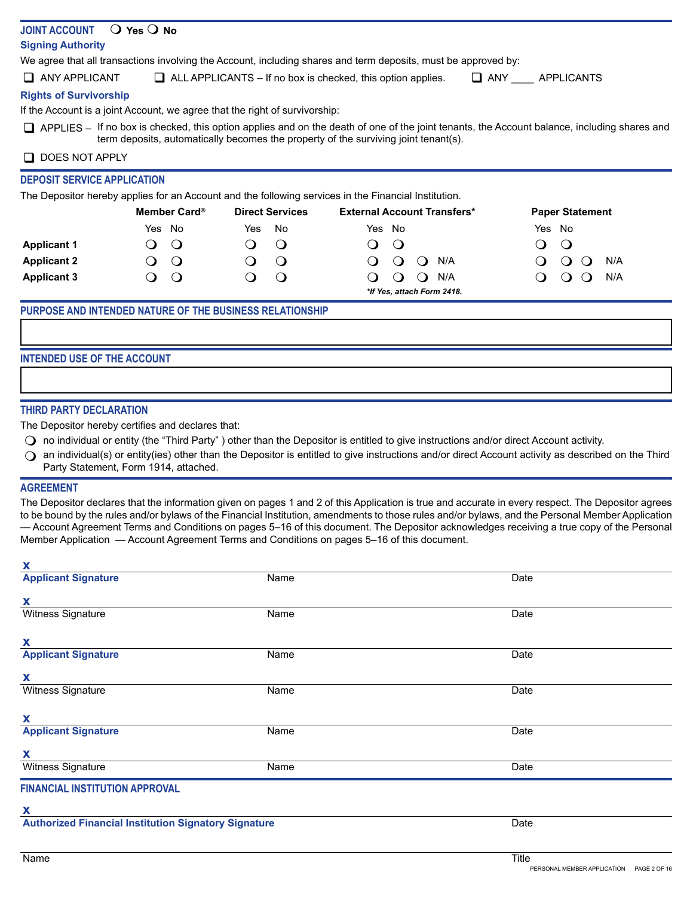# **JOINT ACCOUNT O Yes O No**

# **Signing Authority**

We agree that all transactions involving the Account, including shares and term deposits, must be approved by:

 $\Box$  ANY APPLICANT  $\Box$  ALL APPLICANTS – If no box is checked, this option applies.  $\Box$  ANY APPLICANTS

# **Rights of Survivorship**

If the Account is a joint Account, we agree that the right of survivorship:

 $\Box$  APPLIES – If no box is checked, this option applies and on the death of one of the joint tenants, the Account balance, including shares and term deposits, automatically becomes the property of the surviving joint tenant(s).

# $\Box$  DOES NOT APPLY

# **DEPOSIT SERVICE APPLICATION**

The Depositor hereby applies for an Account and the following services in the Financial Institution.

|                    | Member Card®               | <b>Direct Services</b> | <b>External Account Transfers*</b> | <b>Paper Statement</b> |
|--------------------|----------------------------|------------------------|------------------------------------|------------------------|
|                    | Yes No                     | Yes.<br>No             | Yes No                             | Yes No                 |
| <b>Applicant 1</b> |                            | $\cup$                 | $\circ$                            | $\circ$<br>♪           |
| <b>Applicant 2</b> |                            | $\circ$                | N/A<br>0                           | N/A                    |
| <b>Applicant 3</b> |                            | $\circ$                | N/A<br>$\cup$                      | N/A                    |
|                    | *If Yes, attach Form 2418. |                        |                                    |                        |

# **PURPOSE AND INTENDED NATURE OF THE BUSINESS RELATIONSHIP**

# **INTENDED USE OF THE ACCOUNT**

# **THIRD PARTY DECLARATION**

The Depositor hereby certifies and declares that:

- $\bigcirc$  no individual or entity (the "Third Party") other than the Depositor is entitled to give instructions and/or direct Account activity.
- $\Omega$  an individual(s) or entity(ies) other than the Depositor is entitled to give instructions and/or direct Account activity as described on the Third Party Statement, Form 1914, attached.

## **AGREEMENT**

**x**

The Depositor declares that the information given on pages 1 and 2 of this Application is true and accurate in every respect. The Depositor agrees to be bound by the rules and/or bylaws of the Financial Institution, amendments to those rules and/or bylaws, and the Personal Member Application — Account Agreement Terms and Conditions on pages 5–16 of this document. The Depositor acknowledges receiving a true copy of the Personal Member Application — Account Agreement Terms and Conditions on pages 5–16 of this document.

| $\mathbf{v}$                                                |      |      |
|-------------------------------------------------------------|------|------|
| <b>Applicant Signature</b>                                  | Name | Date |
| X                                                           |      |      |
| Witness Signature                                           | Name | Date |
|                                                             |      |      |
| $\mathbf{x}$                                                |      |      |
| <b>Applicant Signature</b>                                  | Name | Date |
| X                                                           |      |      |
| Witness Signature                                           | Name | Date |
| X                                                           |      |      |
|                                                             |      |      |
| <b>Applicant Signature</b>                                  | Name | Date |
| $\mathbf{X}$                                                |      |      |
| Witness Signature                                           | Name | Date |
| <b>FINANCIAL INSTITUTION APPROVAL</b>                       |      |      |
| X                                                           |      |      |
|                                                             |      |      |
| <b>Authorized Financial Institution Signatory Signature</b> |      | Date |
|                                                             |      |      |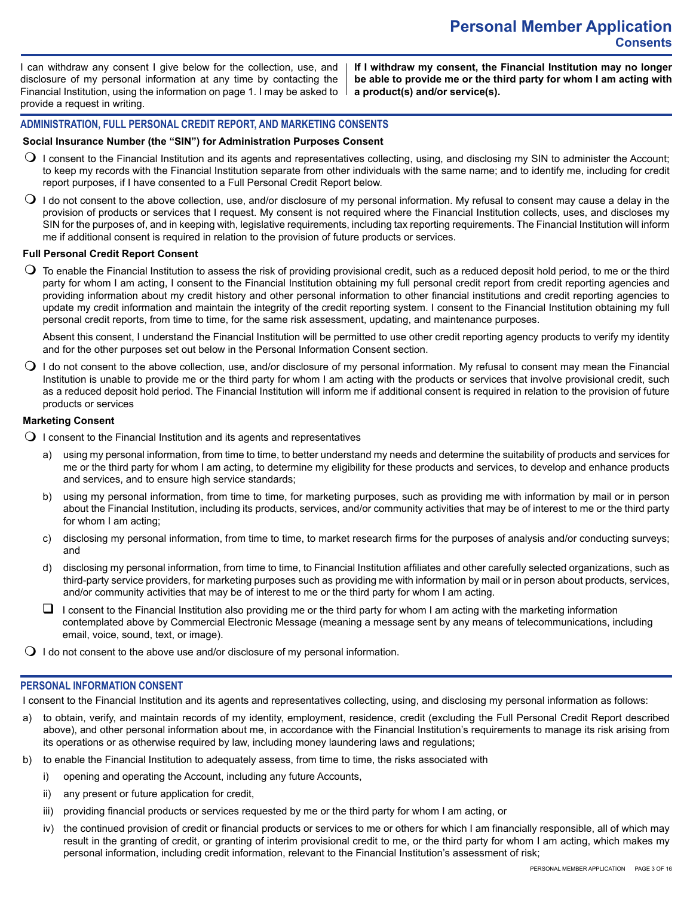I can withdraw any consent I give below for the collection, use, and disclosure of my personal information at any time by contacting the Financial Institution, using the information on page 1. I may be asked to provide a request in writing.

**If I withdraw my consent, the Financial Institution may no longer be able to provide me or the third party for whom I am acting with a product(s) and/or service(s).**

# **ADMINISTRATION, FULL PERSONAL CREDIT REPORT, AND MARKETING CONSENTS**

#### **Social Insurance Number (the "SIN") for Administration Purposes Consent**

- $\bigcirc$  I consent to the Financial Institution and its agents and representatives collecting, using, and disclosing my SIN to administer the Account: to keep my records with the Financial Institution separate from other individuals with the same name; and to identify me, including for credit report purposes, if I have consented to a Full Personal Credit Report below.
- $\bigcirc$  I do not consent to the above collection, use, and/or disclosure of my personal information. My refusal to consent may cause a delay in the provision of products or services that I request. My consent is not required where the Financial Institution collects, uses, and discloses my SIN for the purposes of, and in keeping with, legislative requirements, including tax reporting requirements. The Financial Institution will inform me if additional consent is required in relation to the provision of future products or services.

#### **Full Personal Credit Report Consent**

 $\bigcirc$  To enable the Financial Institution to assess the risk of providing provisional credit, such as a reduced deposit hold period, to me or the third party for whom I am acting, I consent to the Financial Institution obtaining my full personal credit report from credit reporting agencies and providing information about my credit history and other personal information to other financial institutions and credit reporting agencies to update my credit information and maintain the integrity of the credit reporting system. I consent to the Financial Institution obtaining my full personal credit reports, from time to time, for the same risk assessment, updating, and maintenance purposes.

Absent this consent, I understand the Financial Institution will be permitted to use other credit reporting agency products to verify my identity and for the other purposes set out below in the Personal Information Consent section.

 $\bigcirc$  I do not consent to the above collection, use, and/or disclosure of my personal information. My refusal to consent may mean the Financial Institution is unable to provide me or the third party for whom I am acting with the products or services that involve provisional credit, such as a reduced deposit hold period. The Financial Institution will inform me if additional consent is required in relation to the provision of future products or services

# **Marketing Consent**

- $\Omega$  I consent to the Financial Institution and its agents and representatives
	- a) using my personal information, from time to time, to better understand my needs and determine the suitability of products and services for me or the third party for whom I am acting, to determine my eligibility for these products and services, to develop and enhance products and services, and to ensure high service standards;
	- b) using my personal information, from time to time, for marketing purposes, such as providing me with information by mail or in person about the Financial Institution, including its products, services, and/or community activities that may be of interest to me or the third party for whom I am acting;
	- c) disclosing my personal information, from time to time, to market research firms for the purposes of analysis and/or conducting surveys; and
	- d) disclosing my personal information, from time to time, to Financial Institution affiliates and other carefully selected organizations, such as third-party service providers, for marketing purposes such as providing me with information by mail or in person about products, services, and/or community activities that may be of interest to me or the third party for whom I am acting.
	- $\Box$  I consent to the Financial Institution also providing me or the third party for whom I am acting with the marketing information contemplated above by Commercial Electronic Message (meaning a message sent by any means of telecommunications, including email, voice, sound, text, or image).
- $\bigcirc$  I do not consent to the above use and/or disclosure of my personal information.

## **PERSONAL INFORMATION CONSENT**

I consent to the Financial Institution and its agents and representatives collecting, using, and disclosing my personal information as follows:

- a) to obtain, verify, and maintain records of my identity, employment, residence, credit (excluding the Full Personal Credit Report described above), and other personal information about me, in accordance with the Financial Institution's requirements to manage its risk arising from its operations or as otherwise required by law, including money laundering laws and regulations;
- to enable the Financial Institution to adequately assess, from time to time, the risks associated with
	- i) opening and operating the Account, including any future Accounts,
	- ii) any present or future application for credit,
	- iii) providing financial products or services requested by me or the third party for whom I am acting, or
	- iv) the continued provision of credit or financial products or services to me or others for which I am financially responsible, all of which may result in the granting of credit, or granting of interim provisional credit to me, or the third party for whom I am acting, which makes my personal information, including credit information, relevant to the Financial Institution's assessment of risk;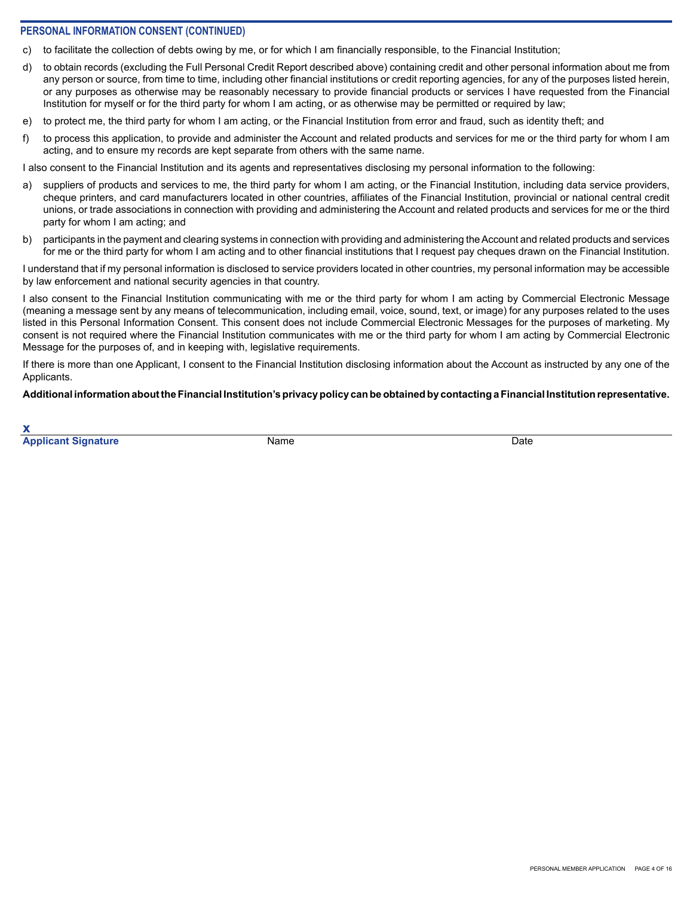# **PERSONAL INFORMATION CONSENT (CONTINUED)**

- c) to facilitate the collection of debts owing by me, or for which I am financially responsible, to the Financial Institution;
- d) to obtain records (excluding the Full Personal Credit Report described above) containing credit and other personal information about me from any person or source, from time to time, including other financial institutions or credit reporting agencies, for any of the purposes listed herein, or any purposes as otherwise may be reasonably necessary to provide financial products or services I have requested from the Financial Institution for myself or for the third party for whom I am acting, or as otherwise may be permitted or required by law;
- e) to protect me, the third party for whom I am acting, or the Financial Institution from error and fraud, such as identity theft; and
- f) to process this application, to provide and administer the Account and related products and services for me or the third party for whom I am acting, and to ensure my records are kept separate from others with the same name.

I also consent to the Financial Institution and its agents and representatives disclosing my personal information to the following:

- a) suppliers of products and services to me, the third party for whom I am acting, or the Financial Institution, including data service providers, cheque printers, and card manufacturers located in other countries, affiliates of the Financial Institution, provincial or national central credit unions, or trade associations in connection with providing and administering the Account and related products and services for me or the third party for whom I am acting; and
- b) participants in the payment and clearing systems in connection with providing and administering the Account and related products and services for me or the third party for whom I am acting and to other financial institutions that I request pay cheques drawn on the Financial Institution.

I understand that if my personal information is disclosed to service providers located in other countries, my personal information may be accessible by law enforcement and national security agencies in that country.

I also consent to the Financial Institution communicating with me or the third party for whom I am acting by Commercial Electronic Message (meaning a message sent by any means of telecommunication, including email, voice, sound, text, or image) for any purposes related to the uses listed in this Personal Information Consent. This consent does not include Commercial Electronic Messages for the purposes of marketing. My consent is not required where the Financial Institution communicates with me or the third party for whom I am acting by Commercial Electronic Message for the purposes of, and in keeping with, legislative requirements.

If there is more than one Applicant, I consent to the Financial Institution disclosing information about the Account as instructed by any one of the Applicants.

**Additional information about the Financial Institution's privacy policy can be obtained by contacting a Financial Institution representative.**

**x Applicant Signature Community Community Community Community Community Community Community Community Community Community Community Community Community Community Community Community Community Community Community Community C**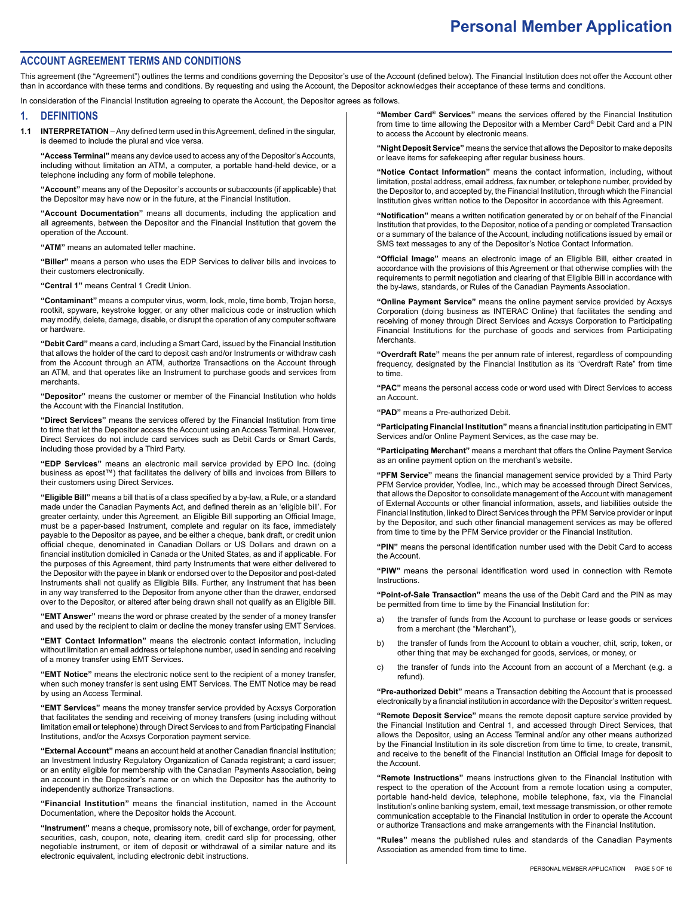# **Personal Member Application**

#### **ACCOUNT AGREEMENT TERMS AND CONDITIONS**

This agreement (the "Agreement") outlines the terms and conditions governing the Depositor's use of the Account (defined below). The Financial Institution does not offer the Account other than in accordance with these terms and conditions. By requesting and using the Account, the Depositor acknowledges their acceptance of these terms and conditions.

In consideration of the Financial Institution agreeing to operate the Account, the Depositor agrees as follows.

#### **1. DEFINITIONS**

**1.1 INTERPRETATION** – Any defined term used in this Agreement, defined in the singular, is deemed to include the plural and vice versa.

**"Access Terminal"** means any device used to access any of the Depositor's Accounts, including without limitation an ATM, a computer, a portable hand-held device, or a telephone including any form of mobile telephone.

**"Account"** means any of the Depositor's accounts or subaccounts (if applicable) that the Depositor may have now or in the future, at the Financial Institution.

**"Account Documentation"** means all documents, including the application and all agreements, between the Depositor and the Financial Institution that govern the operation of the Account.

**"ATM"** means an automated teller machine.

**"Biller"** means a person who uses the EDP Services to deliver bills and invoices to their customers electronically.

**"Central 1"** means Central 1 Credit Union.

**"Contaminant"** means a computer virus, worm, lock, mole, time bomb, Trojan horse, rootkit, spyware, keystroke logger, or any other malicious code or instruction which may modify, delete, damage, disable, or disrupt the operation of any computer software or hardware.

**"Debit Card"** means a card, including a Smart Card, issued by the Financial Institution that allows the holder of the card to deposit cash and/or Instruments or withdraw cash from the Account through an ATM, authorize Transactions on the Account through an ATM, and that operates like an Instrument to purchase goods and services from merchants.

**"Depositor"** means the customer or member of the Financial Institution who holds the Account with the Financial Institution.

**"Direct Services"** means the services offered by the Financial Institution from time to time that let the Depositor access the Account using an Access Terminal. However, Direct Services do not include card services such as Debit Cards or Smart Cards, including those provided by a Third Party.

**"EDP Services"** means an electronic mail service provided by EPO Inc. (doing business as epost™) that facilitates the delivery of bills and invoices from Billers to their customers using Direct Services.

**"Eligible Bill"** means a bill that is of a class specified by a by-law, a Rule, or a standard made under the Canadian Payments Act, and defined therein as an 'eligible bill'. For greater certainty, under this Agreement, an Eligible Bill supporting an Official Image, must be a paper-based Instrument, complete and regular on its face, immediately payable to the Depositor as payee, and be either a cheque, bank draft, or credit union official cheque, denominated in Canadian Dollars or US Dollars and drawn on a financial institution domiciled in Canada or the United States, as and if applicable. For the purposes of this Agreement, third party Instruments that were either delivered to the Depositor with the payee in blank or endorsed over to the Depositor and post-dated Instruments shall not qualify as Eligible Bills. Further, any Instrument that has been in any way transferred to the Depositor from anyone other than the drawer, endorsed over to the Depositor, or altered after being drawn shall not qualify as an Eligible Bill.

**"EMT Answer"** means the word or phrase created by the sender of a money transfer and used by the recipient to claim or decline the money transfer using EMT Services.

**"EMT Contact Information"** means the electronic contact information, including without limitation an email address or telephone number, used in sending and receiving of a money transfer using EMT Services.

**"EMT Notice"** means the electronic notice sent to the recipient of a money transfer, when such money transfer is sent using EMT Services. The EMT Notice may be read by using an Access Terminal.

**"EMT Services"** means the money transfer service provided by Acxsys Corporation that facilitates the sending and receiving of money transfers (using including without limitation email or telephone) through Direct Services to and from Participating Financial Institutions, and/or the Acxsys Corporation payment service.

**"External Account"** means an account held at another Canadian financial institution; an Investment Industry Regulatory Organization of Canada registrant; a card issuer; or an entity eligible for membership with the Canadian Payments Association, being an account in the Depositor's name or on which the Depositor has the authority to independently authorize Transactions.

**"Financial Institution"** means the financial institution, named in the Account Documentation, where the Depositor holds the Account.

**"Instrument"** means a cheque, promissory note, bill of exchange, order for payment, securities, cash, coupon, note, clearing item, credit card slip for processing, other negotiable instrument, or item of deposit or withdrawal of a similar nature and its electronic equivalent, including electronic debit instructions.

**"Member Card® Services"** means the services offered by the Financial Institution from time to time allowing the Depositor with a Member Card® Debit Card and a PIN to access the Account by electronic means.

**"Night Deposit Service"** means the service that allows the Depositor to make deposits or leave items for safekeeping after regular business hours.

**"Notice Contact Information"** means the contact information, including, without limitation, postal address, email address, fax number, or telephone number, provided by the Depositor to, and accepted by, the Financial Institution, through which the Financial Institution gives written notice to the Depositor in accordance with this Agreement.

**"Notification"** means a written notification generated by or on behalf of the Financial Institution that provides, to the Depositor, notice of a pending or completed Transaction or a summary of the balance of the Account, including notifications issued by email or SMS text messages to any of the Depositor's Notice Contact Information.

**"Official Image"** means an electronic image of an Eligible Bill, either created in accordance with the provisions of this Agreement or that otherwise complies with the requirements to permit negotiation and clearing of that Eligible Bill in accordance with the by-laws, standards, or Rules of the Canadian Payments Association.

**"Online Payment Service"** means the online payment service provided by Acxsys Corporation (doing business as INTERAC Online) that facilitates the sending and receiving of money through Direct Services and Acxsys Corporation to Participating Financial Institutions for the purchase of goods and services from Participating **Merchants** 

**"Overdraft Rate"** means the per annum rate of interest, regardless of compounding frequency, designated by the Financial Institution as its "Overdraft Rate" from time to time.

**"PAC"** means the personal access code or word used with Direct Services to access an Account.

**"PAD"** means a Pre-authorized Debit.

**"Participating Financial Institution"** means a financial institution participating in EMT Services and/or Online Payment Services, as the case may be.

**"Participating Merchant"** means a merchant that offers the Online Payment Service as an online payment option on the merchant's website.

**"PFM Service"** means the financial management service provided by a Third Party PFM Service provider, Yodlee, Inc., which may be accessed through Direct Services, that allows the Depositor to consolidate management of the Account with management of External Accounts or other financial information, assets, and liabilities outside the Financial Institution, linked to Direct Services through the PFM Service provider or input by the Depositor, and such other financial management services as may be offered from time to time by the PFM Service provider or the Financial Institution.

**"PIN"** means the personal identification number used with the Debit Card to access the Account.

**"PIW"** means the personal identification word used in connection with Remote Instructions.

**"Point-of-Sale Transaction"** means the use of the Debit Card and the PIN as may be permitted from time to time by the Financial Institution for:

- a) the transfer of funds from the Account to purchase or lease goods or services from a merchant (the "Merchant"),
- b) the transfer of funds from the Account to obtain a voucher, chit, scrip, token, or other thing that may be exchanged for goods, services, or money, or
- c) the transfer of funds into the Account from an account of a Merchant (e.g. a refund).

**"Pre-authorized Debit"** means a Transaction debiting the Account that is processed electronically by a financial institution in accordance with the Depositor's written request.

**"Remote Deposit Service"** means the remote deposit capture service provided by the Financial Institution and Central 1, and accessed through Direct Services, that allows the Depositor, using an Access Terminal and/or any other means authorized by the Financial Institution in its sole discretion from time to time, to create, transmit, and receive to the benefit of the Financial Institution an Official Image for deposit to the Account.

**"Remote Instructions"** means instructions given to the Financial Institution with respect to the operation of the Account from a remote location using a computer, portable hand-held device, telephone, mobile telephone, fax, via the Financial Institution's online banking system, email, text message transmission, or other remote communication acceptable to the Financial Institution in order to operate the Account or authorize Transactions and make arrangements with the Financial Institution.

**"Rules"** means the published rules and standards of the Canadian Payments Association as amended from time to time.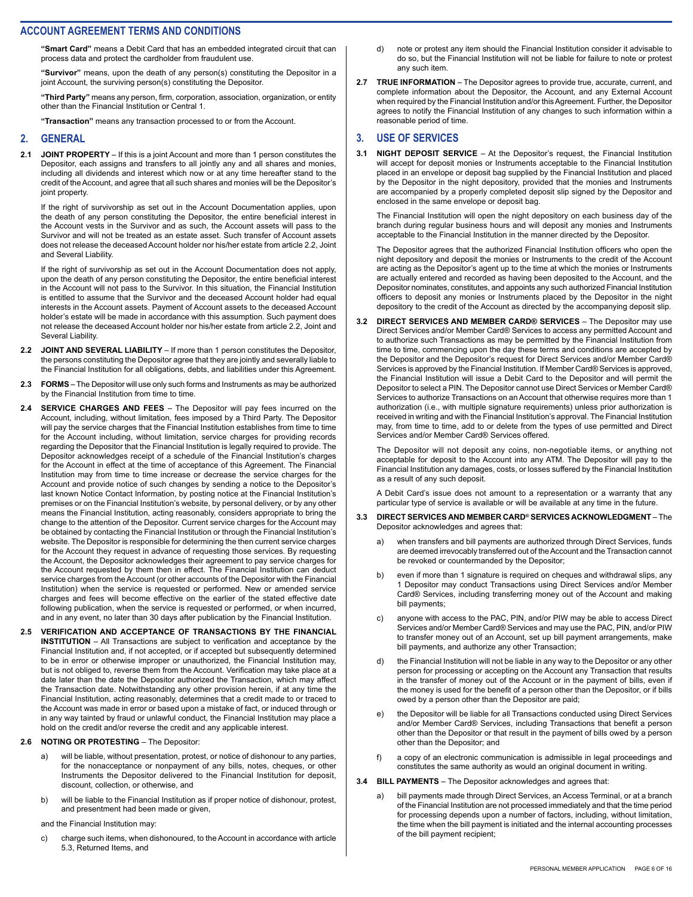**"Smart Card"** means a Debit Card that has an embedded integrated circuit that can process data and protect the cardholder from fraudulent use.

**"Survivor"** means, upon the death of any person(s) constituting the Depositor in a joint Account, the surviving person(s) constituting the Depositor.

**"Third Party"** means any person, firm, corporation, association, organization, or entity other than the Financial Institution or Central 1.

**"Transaction"** means any transaction processed to or from the Account.

#### **2. GENERAL**

**2.1 JOINT PROPERTY** – If this is a joint Account and more than 1 person constitutes the Depositor, each assigns and transfers to all jointly any and all shares and monies, including all dividends and interest which now or at any time hereafter stand to the credit of the Account, and agree that all such shares and monies will be the Depositor's joint property.

If the right of survivorship as set out in the Account Documentation applies, upon the death of any person constituting the Depositor, the entire beneficial interest in the Account vests in the Survivor and as such, the Account assets will pass to the Survivor and will not be treated as an estate asset. Such transfer of Account assets does not release the deceased Account holder nor his/her estate from article 2.2, Joint and Several Liability.

If the right of survivorship as set out in the Account Documentation does not apply, upon the death of any person constituting the Depositor, the entire beneficial interest in the Account will not pass to the Survivor. In this situation, the Financial Institution is entitled to assume that the Survivor and the deceased Account holder had equal interests in the Account assets. Payment of Account assets to the deceased Account holder's estate will be made in accordance with this assumption. Such payment does not release the deceased Account holder nor his/her estate from article 2.2, Joint and Several Liability.

- **2.2 JOINT AND SEVERAL LIABILITY** If more than 1 person constitutes the Depositor, the persons constituting the Depositor agree that they are jointly and severally liable to the Financial Institution for all obligations, debts, and liabilities under this Agreement.
- **2.3 FORMS**  The Depositor will use only such forms and Instruments as may be authorized by the Financial Institution from time to time.
- **2.4 SERVICE CHARGES AND FEES**  The Depositor will pay fees incurred on the Account, including, without limitation, fees imposed by a Third Party. The Depositor will pay the service charges that the Financial Institution establishes from time to time for the Account including, without limitation, service charges for providing records regarding the Depositor that the Financial Institution is legally required to provide. The Depositor acknowledges receipt of a schedule of the Financial Institution's charges for the Account in effect at the time of acceptance of this Agreement. The Financial Institution may from time to time increase or decrease the service charges for the Account and provide notice of such changes by sending a notice to the Depositor's last known Notice Contact Information, by posting notice at the Financial Institution's premises or on the Financial Institution's website, by personal delivery, or by any other means the Financial Institution, acting reasonably, considers appropriate to bring the change to the attention of the Depositor. Current service charges for the Account may be obtained by contacting the Financial Institution or through the Financial Institution's website. The Depositor is responsible for determining the then current service charges for the Account they request in advance of requesting those services. By requesting the Account, the Depositor acknowledges their agreement to pay service charges for the Account requested by them then in effect. The Financial Institution can deduct service charges from the Account (or other accounts of the Depositor with the Financial Institution) when the service is requested or performed. New or amended service charges and fees will become effective on the earlier of the stated effective date following publication, when the service is requested or performed, or when incurred, and in any event, no later than 30 days after publication by the Financial Institution.
- **2.5 VERIFICATION AND ACCEPTANCE OF TRANSACTIONS BY THE FINANCIAL INSTITUTION** – All Transactions are subject to verification and acceptance by the Financial Institution and, if not accepted, or if accepted but subsequently determined to be in error or otherwise improper or unauthorized, the Financial Institution may, but is not obliged to, reverse them from the Account. Verification may take place at a date later than the date the Depositor authorized the Transaction, which may affect the Transaction date. Notwithstanding any other provision herein, if at any time the Financial Institution, acting reasonably, determines that a credit made to or traced to the Account was made in error or based upon a mistake of fact, or induced through or in any way tainted by fraud or unlawful conduct, the Financial Institution may place a hold on the credit and/or reverse the credit and any applicable interest.

#### **2.6 NOTING OR PROTESTING** – The Depositor:

- a) will be liable, without presentation, protest, or notice of dishonour to any parties, for the nonacceptance or nonpayment of any bills, notes, cheques, or other Instruments the Depositor delivered to the Financial Institution for deposit, discount, collection, or otherwise, and
- b) will be liable to the Financial Institution as if proper notice of dishonour, protest, and presentment had been made or given,
- and the Financial Institution may:
- c) charge such items, when dishonoured, to the Account in accordance with article 5.3, Returned Items, and
- d) note or protest any item should the Financial Institution consider it advisable to do so, but the Financial Institution will not be liable for failure to note or protest any such item.
- **2.7 TRUE INFORMATION**  The Depositor agrees to provide true, accurate, current, and complete information about the Depositor, the Account, and any External Account when required by the Financial Institution and/or this Agreement. Further, the Depositor agrees to notify the Financial Institution of any changes to such information within a reasonable period of time.

### **3. USE OF SERVICES**

**3.1 NIGHT DEPOSIT SERVICE** – At the Depositor's request, the Financial Institution will accept for deposit monies or Instruments acceptable to the Financial Institution placed in an envelope or deposit bag supplied by the Financial Institution and placed by the Depositor in the night depository, provided that the monies and Instruments are accompanied by a properly completed deposit slip signed by the Depositor and enclosed in the same envelope or deposit bag.

The Financial Institution will open the night depository on each business day of the branch during regular business hours and will deposit any monies and Instruments acceptable to the Financial Institution in the manner directed by the Depositor.

The Depositor agrees that the authorized Financial Institution officers who open the night depository and deposit the monies or Instruments to the credit of the Account are acting as the Depositor's agent up to the time at which the monies or Instruments are actually entered and recorded as having been deposited to the Account, and the Depositor nominates, constitutes, and appoints any such authorized Financial Institution officers to deposit any monies or Instruments placed by the Depositor in the night depository to the credit of the Account as directed by the accompanying deposit slip.

**3.2 DIRECT SERVICES AND MEMBER CARD® SERVICES** – The Depositor may use Direct Services and/or Member Card® Services to access any permitted Account and to authorize such Transactions as may be permitted by the Financial Institution from time to time, commencing upon the day these terms and conditions are accepted by the Depositor and the Depositor's request for Direct Services and/or Member Card® Services is approved by the Financial Institution. If Member Card® Services is approved, the Financial Institution will issue a Debit Card to the Depositor and will permit the Depositor to select a PIN. The Depositor cannot use Direct Services or Member Card® Services to authorize Transactions on an Account that otherwise requires more than 1 authorization (i.e., with multiple signature requirements) unless prior authorization is received in writing and with the Financial Institution's approval. The Financial Institution may, from time to time, add to or delete from the types of use permitted and Direct Services and/or Member Card® Services offered.

The Depositor will not deposit any coins, non-negotiable items, or anything not acceptable for deposit to the Account into any ATM. The Depositor will pay to the Financial Institution any damages, costs, or losses suffered by the Financial Institution as a result of any such deposit.

A Debit Card's issue does not amount to a representation or a warranty that any particular type of service is available or will be available at any time in the future.

- **3.3 DIRECT SERVICES AND MEMBER CARD® SERVICES ACKNOWLEDGMENT** The Depositor acknowledges and agrees that:
	- a) when transfers and bill payments are authorized through Direct Services, funds are deemed irrevocably transferred out of the Account and the Transaction cannot be revoked or countermanded by the Depositor;
	- b) even if more than 1 signature is required on cheques and withdrawal slips, any 1 Depositor may conduct Transactions using Direct Services and/or Member Card® Services, including transferring money out of the Account and making bill payments;
	- anyone with access to the PAC, PIN, and/or PIW may be able to access Direct Services and/or Member Card® Services and may use the PAC, PIN, and/or PIW to transfer money out of an Account, set up bill payment arrangements, make bill payments, and authorize any other Transaction;
	- d) the Financial Institution will not be liable in any way to the Depositor or any other person for processing or accepting on the Account any Transaction that results in the transfer of money out of the Account or in the payment of bills, even if the money is used for the benefit of a person other than the Depositor, or if bills owed by a person other than the Depositor are paid;
	- e) the Depositor will be liable for all Transactions conducted using Direct Services and/or Member Card® Services, including Transactions that benefit a person other than the Depositor or that result in the payment of bills owed by a person other than the Depositor; and
	- f) a copy of an electronic communication is admissible in legal proceedings and constitutes the same authority as would an original document in writing.
- **3.4 BILL PAYMENTS**  The Depositor acknowledges and agrees that:
	- a) bill payments made through Direct Services, an Access Terminal, or at a branch of the Financial Institution are not processed immediately and that the time period for processing depends upon a number of factors, including, without limitation, the time when the bill payment is initiated and the internal accounting processes of the bill payment recipient;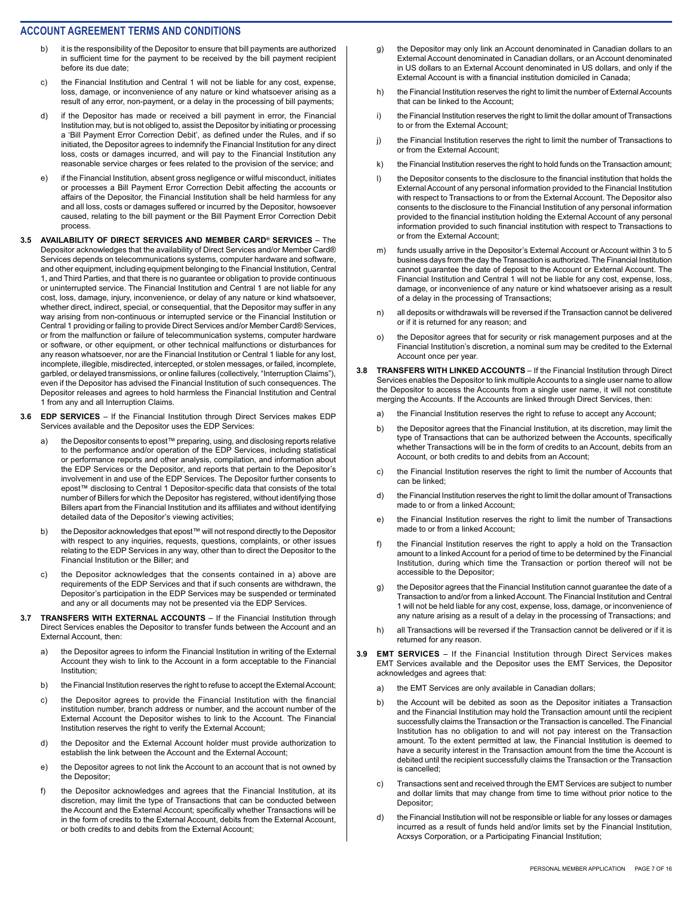- b) it is the responsibility of the Depositor to ensure that bill payments are authorized in sufficient time for the payment to be received by the bill payment recipient before its due date;
- c) the Financial Institution and Central 1 will not be liable for any cost, expense, loss, damage, or inconvenience of any nature or kind whatsoever arising as a result of any error, non-payment, or a delay in the processing of bill payments;
- d) if the Depositor has made or received a bill payment in error, the Financial Institution may, but is not obliged to, assist the Depositor by initiating or processing a 'Bill Payment Error Correction Debit', as defined under the Rules, and if so initiated, the Depositor agrees to indemnify the Financial Institution for any direct loss, costs or damages incurred, and will pay to the Financial Institution any reasonable service charges or fees related to the provision of the service; and
- e) if the Financial Institution, absent gross negligence or wilful misconduct, initiates or processes a Bill Payment Error Correction Debit affecting the accounts or affairs of the Depositor, the Financial Institution shall be held harmless for any and all loss, costs or damages suffered or incurred by the Depositor, howsoever caused, relating to the bill payment or the Bill Payment Error Correction Debit process.
- **3.5 AVAILABILITY OF DIRECT SERVICES AND MEMBER CARD® SERVICES**  The Depositor acknowledges that the availability of Direct Services and/or Member Card® Services depends on telecommunications systems, computer hardware and software, and other equipment, including equipment belonging to the Financial Institution, Central 1, and Third Parties, and that there is no guarantee or obligation to provide continuous or uninterrupted service. The Financial Institution and Central 1 are not liable for any cost, loss, damage, injury, inconvenience, or delay of any nature or kind whatsoever, whether direct, indirect, special, or consequential, that the Depositor may suffer in any way arising from non-continuous or interrupted service or the Financial Institution or Central 1 providing or failing to provide Direct Services and/or Member Card® Services, or from the malfunction or failure of telecommunication systems, computer hardware or software, or other equipment, or other technical malfunctions or disturbances for any reason whatsoever, nor are the Financial Institution or Central 1 liable for any lost, incomplete, illegible, misdirected, intercepted, or stolen messages, or failed, incomplete, garbled, or delayed transmissions, or online failures (collectively, "Interruption Claims"), even if the Depositor has advised the Financial Institution of such consequences. The Depositor releases and agrees to hold harmless the Financial Institution and Central 1 from any and all Interruption Claims.
- **3.6 EDP SERVICES**  If the Financial Institution through Direct Services makes EDP Services available and the Depositor uses the EDP Services:
	- a) the Depositor consents to epost™ preparing, using, and disclosing reports relative to the performance and/or operation of the EDP Services, including statistical or performance reports and other analysis, compilation, and information about the EDP Services or the Depositor, and reports that pertain to the Depositor's involvement in and use of the EDP Services. The Depositor further consents to epost™ disclosing to Central 1 Depositor-specific data that consists of the total number of Billers for which the Depositor has registered, without identifying those Billers apart from the Financial Institution and its affiliates and without identifying detailed data of the Depositor's viewing activities;
	- b) the Depositor acknowledges that epost™ will not respond directly to the Depositor with respect to any inquiries, requests, questions, complaints, or other issues relating to the EDP Services in any way, other than to direct the Depositor to the Financial Institution or the Biller; and
	- c) the Depositor acknowledges that the consents contained in a) above are requirements of the EDP Services and that if such consents are withdrawn, the Depositor's participation in the EDP Services may be suspended or terminated and any or all documents may not be presented via the EDP Services.
- **3.7 TRANSFERS WITH EXTERNAL ACCOUNTS**  If the Financial Institution through Direct Services enables the Depositor to transfer funds between the Account and an External Account, then:
	- a) the Depositor agrees to inform the Financial Institution in writing of the External Account they wish to link to the Account in a form acceptable to the Financial Institution;
	- b) the Financial Institution reserves the right to refuse to accept the External Account;
	- c) the Depositor agrees to provide the Financial Institution with the financial institution number, branch address or number, and the account number of the External Account the Depositor wishes to link to the Account. The Financial Institution reserves the right to verify the External Account;
	- d) the Depositor and the External Account holder must provide authorization to establish the link between the Account and the External Account;
	- e) the Depositor agrees to not link the Account to an account that is not owned by the Depositor;
	- f) the Depositor acknowledges and agrees that the Financial Institution, at its discretion, may limit the type of Transactions that can be conducted between the Account and the External Account; specifically whether Transactions will be in the form of credits to the External Account, debits from the External Account, or both credits to and debits from the External Account;
- g) the Depositor may only link an Account denominated in Canadian dollars to an External Account denominated in Canadian dollars, or an Account denominated in US dollars to an External Account denominated in US dollars, and only if the External Account is with a financial institution domiciled in Canada;
- h) the Financial Institution reserves the right to limit the number of External Accounts that can be linked to the Account;
- i) the Financial Institution reserves the right to limit the dollar amount of Transactions to or from the External Account;
- j) the Financial Institution reserves the right to limit the number of Transactions to or from the External Account;
- k) the Financial Institution reserves the right to hold funds on the Transaction amount;
- l) the Depositor consents to the disclosure to the financial institution that holds the External Account of any personal information provided to the Financial Institution with respect to Transactions to or from the External Account. The Depositor also consents to the disclosure to the Financial Institution of any personal information provided to the financial institution holding the External Account of any personal information provided to such financial institution with respect to Transactions to or from the External Account;
- m) funds usually arrive in the Depositor's External Account or Account within 3 to 5 business days from the day the Transaction is authorized. The Financial Institution cannot guarantee the date of deposit to the Account or External Account. The Financial Institution and Central 1 will not be liable for any cost, expense, loss, damage, or inconvenience of any nature or kind whatsoever arising as a result of a delay in the processing of Transactions;
- all deposits or withdrawals will be reversed if the Transaction cannot be delivered or if it is returned for any reason; and
- o) the Depositor agrees that for security or risk management purposes and at the Financial Institution's discretion, a nominal sum may be credited to the External Account once per year.
- **3.8 TRANSFERS WITH LINKED ACCOUNTS**  If the Financial Institution through Direct Services enables the Depositor to link multiple Accounts to a single user name to allow the Depositor to access the Accounts from a single user name, it will not constitute merging the Accounts. If the Accounts are linked through Direct Services, then:
	- a) the Financial Institution reserves the right to refuse to accept any Account;
	- b) the Depositor agrees that the Financial Institution, at its discretion, may limit the type of Transactions that can be authorized between the Accounts, specifically whether Transactions will be in the form of credits to an Account, debits from an Account, or both credits to and debits from an Account;
	- c) the Financial Institution reserves the right to limit the number of Accounts that can be linked;
	- d) the Financial Institution reserves the right to limit the dollar amount of Transactions made to or from a linked Account;
	- e) the Financial Institution reserves the right to limit the number of Transactions made to or from a linked Account;
	- f) the Financial Institution reserves the right to apply a hold on the Transaction amount to a linked Account for a period of time to be determined by the Financial Institution, during which time the Transaction or portion thereof will not be accessible to the Depositor;
	- g) the Depositor agrees that the Financial Institution cannot guarantee the date of a Transaction to and/or from a linked Account. The Financial Institution and Central 1 will not be held liable for any cost, expense, loss, damage, or inconvenience of any nature arising as a result of a delay in the processing of Transactions; and
	- h) all Transactions will be reversed if the Transaction cannot be delivered or if it is returned for any reason.
- **3.9 EMT SERVICES**  If the Financial Institution through Direct Services makes EMT Services available and the Depositor uses the EMT Services, the Depositor acknowledges and agrees that:
	- a) the EMT Services are only available in Canadian dollars;
	- b) the Account will be debited as soon as the Depositor initiates a Transaction and the Financial Institution may hold the Transaction amount until the recipient successfully claims the Transaction or the Transaction is cancelled. The Financial Institution has no obligation to and will not pay interest on the Transaction amount. To the extent permitted at law, the Financial Institution is deemed to have a security interest in the Transaction amount from the time the Account is debited until the recipient successfully claims the Transaction or the Transaction is cancelled;
	- c) Transactions sent and received through the EMT Services are subject to number and dollar limits that may change from time to time without prior notice to the Depositor:
	- d) the Financial Institution will not be responsible or liable for any losses or damages incurred as a result of funds held and/or limits set by the Financial Institution, Acxsys Corporation, or a Participating Financial Institution;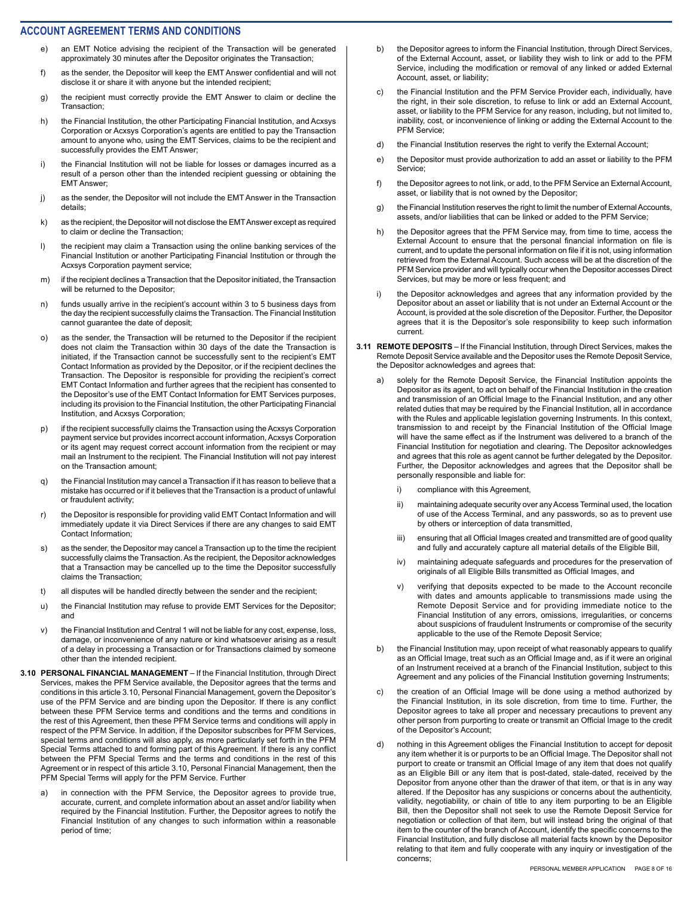- e) an EMT Notice advising the recipient of the Transaction will be generated approximately 30 minutes after the Depositor originates the Transaction;
- f) as the sender, the Depositor will keep the EMT Answer confidential and will not disclose it or share it with anyone but the intended recipient;
- g) the recipient must correctly provide the EMT Answer to claim or decline the Transaction;
- h) the Financial Institution, the other Participating Financial Institution, and Acxsys Corporation or Acxsys Corporation's agents are entitled to pay the Transaction amount to anyone who, using the EMT Services, claims to be the recipient and successfully provides the EMT Answer;
- i) the Financial Institution will not be liable for losses or damages incurred as a result of a person other than the intended recipient guessing or obtaining the EMT Answer;
- j) as the sender, the Depositor will not include the EMT Answer in the Transaction details;
- k) as the recipient, the Depositor will not disclose the EMT Answer except as required to claim or decline the Transaction;
- l) the recipient may claim a Transaction using the online banking services of the Financial Institution or another Participating Financial Institution or through the Acxsys Corporation payment service;
- m) if the recipient declines a Transaction that the Depositor initiated, the Transaction will be returned to the Depositor;
- n) funds usually arrive in the recipient's account within 3 to 5 business days from the day the recipient successfully claims the Transaction. The Financial Institution cannot guarantee the date of deposit;
- o) as the sender, the Transaction will be returned to the Depositor if the recipient does not claim the Transaction within 30 days of the date the Transaction is initiated, if the Transaction cannot be successfully sent to the recipient's EMT Contact Information as provided by the Depositor, or if the recipient declines the Transaction. The Depositor is responsible for providing the recipient's correct EMT Contact Information and further agrees that the recipient has consented to the Depositor's use of the EMT Contact Information for EMT Services purposes, including its provision to the Financial Institution, the other Participating Financial Institution, and Acxsys Corporation;
- p) if the recipient successfully claims the Transaction using the Acxsys Corporation payment service but provides incorrect account information, Acxsys Corporation or its agent may request correct account information from the recipient or may mail an Instrument to the recipient. The Financial Institution will not pay interest on the Transaction amount;
- q) the Financial Institution may cancel a Transaction if it has reason to believe that a mistake has occurred or if it believes that the Transaction is a product of unlawful or fraudulent activity;
- r) the Depositor is responsible for providing valid EMT Contact Information and will immediately update it via Direct Services if there are any changes to said EMT Contact Information;
- s) as the sender, the Depositor may cancel a Transaction up to the time the recipient successfully claims the Transaction. As the recipient, the Depositor acknowledges that a Transaction may be cancelled up to the time the Depositor successfully claims the Transaction;
- t) all disputes will be handled directly between the sender and the recipient;
- u) the Financial Institution may refuse to provide EMT Services for the Depositor; and
- v) the Financial Institution and Central 1 will not be liable for any cost, expense, loss, damage, or inconvenience of any nature or kind whatsoever arising as a result of a delay in processing a Transaction or for Transactions claimed by someone other than the intended recipient.
- **3.10 PERSONAL FINANCIAL MANAGEMENT**  If the Financial Institution, through Direct Services, makes the PFM Service available, the Depositor agrees that the terms and conditions in this article 3.10, Personal Financial Management, govern the Depositor's use of the PFM Service and are binding upon the Depositor. If there is any conflict between these PFM Service terms and conditions and the terms and conditions in the rest of this Agreement, then these PFM Service terms and conditions will apply in respect of the PFM Service. In addition, if the Depositor subscribes for PFM Services, special terms and conditions will also apply, as more particularly set forth in the PFM Special Terms attached to and forming part of this Agreement. If there is any conflict between the PFM Special Terms and the terms and conditions in the rest of this Agreement or in respect of this article 3.10, Personal Financial Management, then the PFM Special Terms will apply for the PFM Service. Further
	- a) in connection with the PFM Service, the Depositor agrees to provide true, accurate, current, and complete information about an asset and/or liability when required by the Financial Institution. Further, the Depositor agrees to notify the Financial Institution of any changes to such information within a reasonable period of time;
- b) the Depositor agrees to inform the Financial Institution, through Direct Services, of the External Account, asset, or liability they wish to link or add to the PFM Service, including the modification or removal of any linked or added External Account, asset, or liability;
- c) the Financial Institution and the PFM Service Provider each, individually, have the right, in their sole discretion, to refuse to link or add an External Account, asset, or liability to the PFM Service for any reason, including, but not limited to, inability, cost, or inconvenience of linking or adding the External Account to the PFM Service;
- d) the Financial Institution reserves the right to verify the External Account;
- e) the Depositor must provide authorization to add an asset or liability to the PFM Service;
- f) the Depositor agrees to not link, or add, to the PFM Service an External Account, asset, or liability that is not owned by the Depositor;
- g) the Financial Institution reserves the right to limit the number of External Accounts, assets, and/or liabilities that can be linked or added to the PFM Service;
- h) the Depositor agrees that the PFM Service may, from time to time, access the External Account to ensure that the personal financial information on file is current, and to update the personal information on file if it is not, using information retrieved from the External Account. Such access will be at the discretion of the PFM Service provider and will typically occur when the Depositor accesses Direct Services, but may be more or less frequent; and
- i) the Depositor acknowledges and agrees that any information provided by the Depositor about an asset or liability that is not under an External Account or the Account, is provided at the sole discretion of the Depositor. Further, the Depositor agrees that it is the Depositor's sole responsibility to keep such information current.
- **3.11 REMOTE DEPOSITS**  If the Financial Institution, through Direct Services, makes the Remote Deposit Service available and the Depositor uses the Remote Deposit Service, the Depositor acknowledges and agrees that:
	- a) solely for the Remote Deposit Service, the Financial Institution appoints the Depositor as its agent, to act on behalf of the Financial Institution in the creation and transmission of an Official Image to the Financial Institution, and any other related duties that may be required by the Financial Institution, all in accordance with the Rules and applicable legislation governing Instruments. In this context, transmission to and receipt by the Financial Institution of the Official Image will have the same effect as if the Instrument was delivered to a branch of the Financial Institution for negotiation and clearing. The Depositor acknowledges and agrees that this role as agent cannot be further delegated by the Depositor. Further, the Depositor acknowledges and agrees that the Depositor shall be personally responsible and liable for:
		- i) compliance with this Agreement,
		- ii) maintaining adequate security over any Access Terminal used, the location of use of the Access Terminal, and any passwords, so as to prevent use by others or interception of data transmitted,
		- iii) ensuring that all Official Images created and transmitted are of good quality and fully and accurately capture all material details of the Eligible Bill,
		- iv) maintaining adequate safeguards and procedures for the preservation of originals of all Eligible Bills transmitted as Official Images, and
		- v) verifying that deposits expected to be made to the Account reconcile with dates and amounts applicable to transmissions made using the Remote Deposit Service and for providing immediate notice to the Financial Institution of any errors, omissions, irregularities, or concerns about suspicions of fraudulent Instruments or compromise of the security applicable to the use of the Remote Deposit Service;
	- b) the Financial Institution may, upon receipt of what reasonably appears to qualify as an Official Image, treat such as an Official Image and, as if it were an original of an Instrument received at a branch of the Financial Institution, subject to this Agreement and any policies of the Financial Institution governing Instruments;
	- c) the creation of an Official Image will be done using a method authorized by the Financial Institution, in its sole discretion, from time to time. Further, the Depositor agrees to take all proper and necessary precautions to prevent any other person from purporting to create or transmit an Official Image to the credit of the Depositor's Account;
	- d) nothing in this Agreement obliges the Financial Institution to accept for deposit any item whether it is or purports to be an Official Image. The Depositor shall not purport to create or transmit an Official Image of any item that does not qualify as an Eligible Bill or any item that is post-dated, stale-dated, received by the Depositor from anyone other than the drawer of that item, or that is in any way altered. If the Depositor has any suspicions or concerns about the authenticity, validity, negotiability, or chain of title to any item purporting to be an Eligible Bill, then the Depositor shall not seek to use the Remote Deposit Service for negotiation or collection of that item, but will instead bring the original of that item to the counter of the branch of Account, identify the specific concerns to the Financial Institution, and fully disclose all material facts known by the Depositor relating to that item and fully cooperate with any inquiry or investigation of the concerns;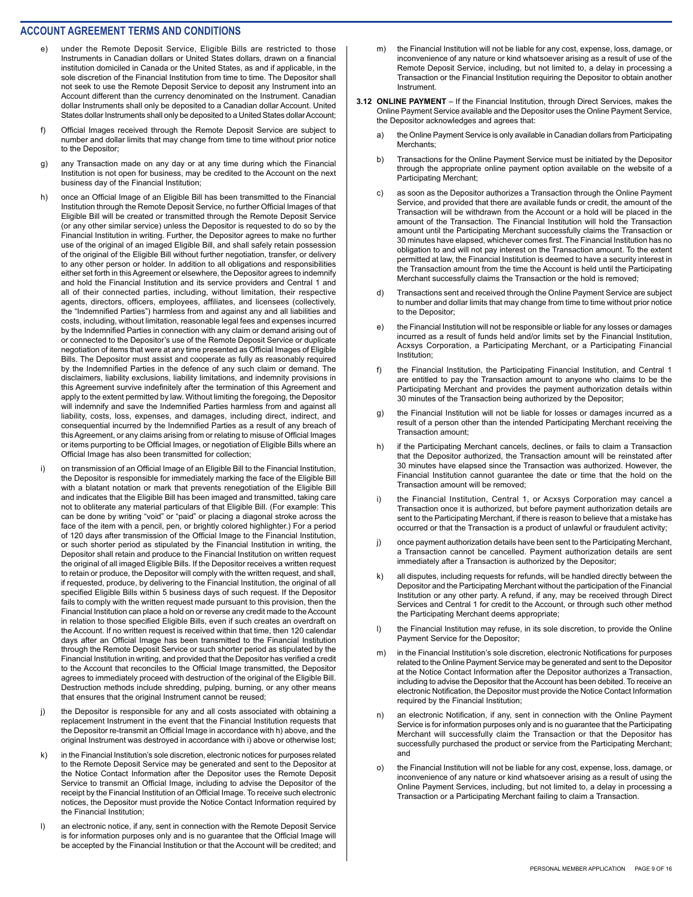- e) under the Remote Deposit Service, Eligible Bills are restricted to those Instruments in Canadian dollars or United States dollars, drawn on a financial institution domiciled in Canada or the United States, as and if applicable, in the sole discretion of the Financial Institution from time to time. The Depositor shall not seek to use the Remote Deposit Service to deposit any Instrument into an Account different than the currency denominated on the Instrument. Canadian dollar Instruments shall only be deposited to a Canadian dollar Account. United States dollar Instruments shall only be deposited to a United States dollar Account;
- f) Official Images received through the Remote Deposit Service are subject to number and dollar limits that may change from time to time without prior notice to the Depositor;
- g) any Transaction made on any day or at any time during which the Financial Institution is not open for business, may be credited to the Account on the next business day of the Financial Institution;
- h) once an Official Image of an Eligible Bill has been transmitted to the Financial Institution through the Remote Deposit Service, no further Official Images of that Eligible Bill will be created or transmitted through the Remote Deposit Service (or any other similar service) unless the Depositor is requested to do so by the Financial Institution in writing. Further, the Depositor agrees to make no further use of the original of an imaged Eligible Bill, and shall safely retain possession of the original of the Eligible Bill without further negotiation, transfer, or delivery to any other person or holder. In addition to all obligations and responsibilities either set forth in this Agreement or elsewhere, the Depositor agrees to indemnify and hold the Financial Institution and its service providers and Central 1 and all of their connected parties, including, without limitation, their respective agents, directors, officers, employees, affiliates, and licensees (collectively, the "Indemnified Parties") harmless from and against any and all liabilities and costs, including, without limitation, reasonable legal fees and expenses incurred by the Indemnified Parties in connection with any claim or demand arising out of or connected to the Depositor's use of the Remote Deposit Service or duplicate negotiation of items that were at any time presented as Official Images of Eligible Bills. The Depositor must assist and cooperate as fully as reasonably required by the Indemnified Parties in the defence of any such claim or demand. The disclaimers, liability exclusions, liability limitations, and indemnity provisions in this Agreement survive indefinitely after the termination of this Agreement and apply to the extent permitted by law. Without limiting the foregoing, the Depositor will indemnify and save the Indemnified Parties harmless from and against all liability, costs, loss, expenses, and damages, including direct, indirect, and consequential incurred by the Indemnified Parties as a result of any breach of this Agreement, or any claims arising from or relating to misuse of Official Images or items purporting to be Official Images, or negotiation of Eligible Bills where an Official Image has also been transmitted for collection;
- i) on transmission of an Official Image of an Eligible Bill to the Financial Institution, the Depositor is responsible for immediately marking the face of the Eligible Bill with a blatant notation or mark that prevents renegotiation of the Eligible Bill and indicates that the Eligible Bill has been imaged and transmitted, taking care not to obliterate any material particulars of that Eligible Bill. (For example: This can be done by writing "void" or "paid" or placing a diagonal stroke across the face of the item with a pencil, pen, or brightly colored highlighter.) For a period of 120 days after transmission of the Official Image to the Financial Institution, or such shorter period as stipulated by the Financial Institution in writing, the Depositor shall retain and produce to the Financial Institution on written request the original of all imaged Eligible Bills. If the Depositor receives a written request to retain or produce, the Depositor will comply with the written request, and shall, if requested, produce, by delivering to the Financial Institution, the original of all specified Eligible Bills within 5 business days of such request. If the Depositor fails to comply with the written request made pursuant to this provision, then the Financial Institution can place a hold on or reverse any credit made to the Account in relation to those specified Eligible Bills, even if such creates an overdraft on the Account. If no written request is received within that time, then 120 calendar days after an Official Image has been transmitted to the Financial Institution through the Remote Deposit Service or such shorter period as stipulated by the Financial Institution in writing, and provided that the Depositor has verified a credit to the Account that reconciles to the Official Image transmitted, the Depositor agrees to immediately proceed with destruction of the original of the Eligible Bill. Destruction methods include shredding, pulping, burning, or any other means that ensures that the original Instrument cannot be reused;
- j) the Depositor is responsible for any and all costs associated with obtaining a replacement Instrument in the event that the Financial Institution requests that the Depositor re-transmit an Official Image in accordance with h) above, and the original Instrument was destroyed in accordance with i) above or otherwise lost;
- k) in the Financial Institution's sole discretion, electronic notices for purposes related to the Remote Deposit Service may be generated and sent to the Depositor at the Notice Contact Information after the Depositor uses the Remote Deposit Service to transmit an Official Image, including to advise the Depositor of the receipt by the Financial Institution of an Official Image. To receive such electronic notices, the Depositor must provide the Notice Contact Information required by the Financial Institution;
- l) an electronic notice, if any, sent in connection with the Remote Deposit Service is for information purposes only and is no guarantee that the Official Image will be accepted by the Financial Institution or that the Account will be credited; and
- m) the Financial Institution will not be liable for any cost, expense, loss, damage, or inconvenience of any nature or kind whatsoever arising as a result of use of the Remote Deposit Service, including, but not limited to, a delay in processing a Transaction or the Financial Institution requiring the Depositor to obtain another Instrument.
- **3.12 ONLINE PAYMENT**  If the Financial Institution, through Direct Services, makes the Online Payment Service available and the Depositor uses the Online Payment Service, the Depositor acknowledges and agrees that:
	- a) the Online Payment Service is only available in Canadian dollars from Participating Merchants;
	- b) Transactions for the Online Payment Service must be initiated by the Depositor through the appropriate online payment option available on the website of a Participating Merchant;
	- c) as soon as the Depositor authorizes a Transaction through the Online Payment Service, and provided that there are available funds or credit, the amount of the Transaction will be withdrawn from the Account or a hold will be placed in the amount of the Transaction. The Financial Institution will hold the Transaction amount until the Participating Merchant successfully claims the Transaction or 30 minutes have elapsed, whichever comes first. The Financial Institution has no obligation to and will not pay interest on the Transaction amount. To the extent permitted at law, the Financial Institution is deemed to have a security interest in the Transaction amount from the time the Account is held until the Participating Merchant successfully claims the Transaction or the hold is removed;
	- d) Transactions sent and received through the Online Payment Service are subject to number and dollar limits that may change from time to time without prior notice to the Depositor;
	- e) the Financial Institution will not be responsible or liable for any losses or damages incurred as a result of funds held and/or limits set by the Financial Institution, Acxsys Corporation, a Participating Merchant, or a Participating Financial Institution;
	- f) the Financial Institution, the Participating Financial Institution, and Central 1 are entitled to pay the Transaction amount to anyone who claims to be the Participating Merchant and provides the payment authorization details within 30 minutes of the Transaction being authorized by the Depositor;
	- g) the Financial Institution will not be liable for losses or damages incurred as a result of a person other than the intended Participating Merchant receiving the Transaction amount;
	- h) if the Participating Merchant cancels, declines, or fails to claim a Transaction that the Depositor authorized, the Transaction amount will be reinstated after 30 minutes have elapsed since the Transaction was authorized. However, the Financial Institution cannot guarantee the date or time that the hold on the Transaction amount will be removed;
	- i) the Financial Institution, Central 1, or Acxsys Corporation may cancel a Transaction once it is authorized, but before payment authorization details are sent to the Participating Merchant, if there is reason to believe that a mistake has occurred or that the Transaction is a product of unlawful or fraudulent activity;
	- j) once payment authorization details have been sent to the Participating Merchant, a Transaction cannot be cancelled. Payment authorization details are sent immediately after a Transaction is authorized by the Depositor;
	- k) all disputes, including requests for refunds, will be handled directly between the Depositor and the Participating Merchant without the participation of the Financial Institution or any other party. A refund, if any, may be received through Direct Services and Central 1 for credit to the Account, or through such other method the Participating Merchant deems appropriate;
	- l) the Financial Institution may refuse, in its sole discretion, to provide the Online Payment Service for the Depositor;
	- m) in the Financial Institution's sole discretion, electronic Notifications for purposes related to the Online Payment Service may be generated and sent to the Depositor at the Notice Contact Information after the Depositor authorizes a Transaction, including to advise the Depositor that the Account has been debited. To receive an electronic Notification, the Depositor must provide the Notice Contact Information required by the Financial Institution;
	- n) an electronic Notification, if any, sent in connection with the Online Payment Service is for information purposes only and is no guarantee that the Participating Merchant will successfully claim the Transaction or that the Depositor has successfully purchased the product or service from the Participating Merchant; and
	- o) the Financial Institution will not be liable for any cost, expense, loss, damage, or inconvenience of any nature or kind whatsoever arising as a result of using the Online Payment Services, including, but not limited to, a delay in processing a Transaction or a Participating Merchant failing to claim a Transaction.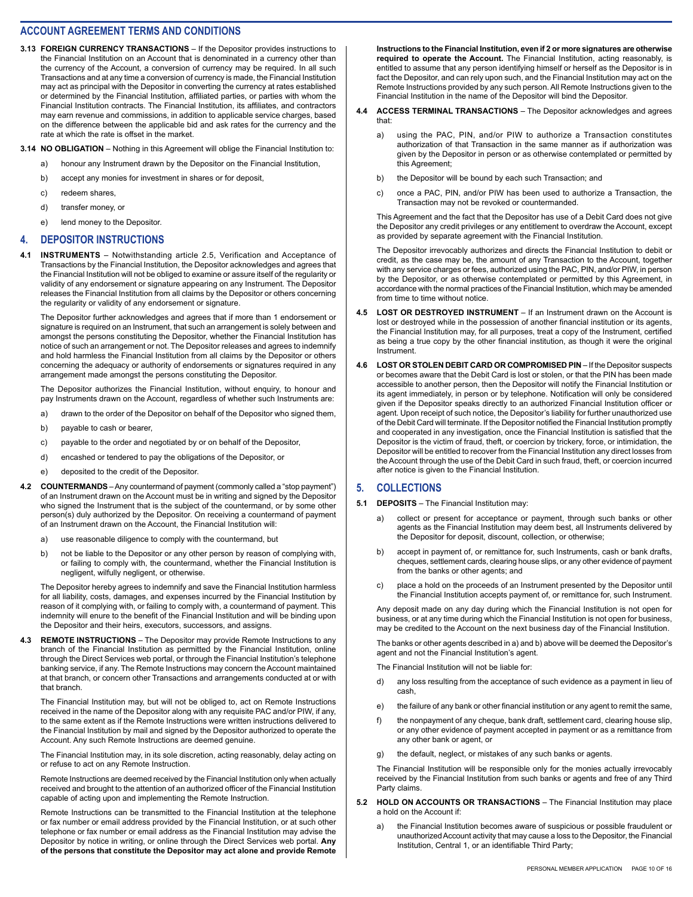**3.13 FOREIGN CURRENCY TRANSACTIONS** – If the Depositor provides instructions to the Financial Institution on an Account that is denominated in a currency other than the currency of the Account, a conversion of currency may be required. In all such Transactions and at any time a conversion of currency is made, the Financial Institution may act as principal with the Depositor in converting the currency at rates established or determined by the Financial Institution, affiliated parties, or parties with whom the Financial Institution contracts. The Financial Institution, its affiliates, and contractors may earn revenue and commissions, in addition to applicable service charges, based on the difference between the applicable bid and ask rates for the currency and the rate at which the rate is offset in the market.

**3.14 NO OBLIGATION** – Nothing in this Agreement will oblige the Financial Institution to:

- a) honour any Instrument drawn by the Depositor on the Financial Institution,
- b) accept any monies for investment in shares or for deposit,
- c) redeem shares,
- d) transfer money, or e) lend money to the Depositor.

#### **4. DEPOSITOR INSTRUCTIONS**

**4.1 INSTRUMENTS** – Notwithstanding article 2.5, Verification and Acceptance of Transactions by the Financial Institution, the Depositor acknowledges and agrees that the Financial Institution will not be obliged to examine or assure itself of the regularity or validity of any endorsement or signature appearing on any Instrument. The Depositor releases the Financial Institution from all claims by the Depositor or others concerning the regularity or validity of any endorsement or signature.

The Depositor further acknowledges and agrees that if more than 1 endorsement or signature is required on an Instrument, that such an arrangement is solely between and amongst the persons constituting the Depositor, whether the Financial Institution has notice of such an arrangement or not. The Depositor releases and agrees to indemnify and hold harmless the Financial Institution from all claims by the Depositor or others concerning the adequacy or authority of endorsements or signatures required in any arrangement made amongst the persons constituting the Depositor.

The Depositor authorizes the Financial Institution, without enquiry, to honour and pay Instruments drawn on the Account, regardless of whether such Instruments are:

- a) drawn to the order of the Depositor on behalf of the Depositor who signed them,
- b) payable to cash or bearer,
- c) payable to the order and negotiated by or on behalf of the Depositor,
- d) encashed or tendered to pay the obligations of the Depositor, or
- e) deposited to the credit of the Depositor.
- **4.2 COUNTERMANDS**  Any countermand of payment (commonly called a "stop payment") of an Instrument drawn on the Account must be in writing and signed by the Depositor who signed the Instrument that is the subject of the countermand, or by some other person(s) duly authorized by the Depositor. On receiving a countermand of payment of an Instrument drawn on the Account, the Financial Institution will:
	- a) use reasonable diligence to comply with the countermand, but
	- b) not be liable to the Depositor or any other person by reason of complying with, or failing to comply with, the countermand, whether the Financial Institution is negligent, wilfully negligent, or otherwise.

The Depositor hereby agrees to indemnify and save the Financial Institution harmless for all liability, costs, damages, and expenses incurred by the Financial Institution by reason of it complying with, or failing to comply with, a countermand of payment. This indemnity will enure to the benefit of the Financial Institution and will be binding upon the Depositor and their heirs, executors, successors, and assigns.

**4.3 REMOTE INSTRUCTIONS** – The Depositor may provide Remote Instructions to any branch of the Financial Institution as permitted by the Financial Institution, online through the Direct Services web portal, or through the Financial Institution's telephone banking service, if any. The Remote Instructions may concern the Account maintained at that branch, or concern other Transactions and arrangements conducted at or with that branch.

The Financial Institution may, but will not be obliged to, act on Remote Instructions received in the name of the Depositor along with any requisite PAC and/or PIW, if any, to the same extent as if the Remote Instructions were written instructions delivered to the Financial Institution by mail and signed by the Depositor authorized to operate the Account. Any such Remote Instructions are deemed genuine.

The Financial Institution may, in its sole discretion, acting reasonably, delay acting on or refuse to act on any Remote Instruction.

Remote Instructions are deemed received by the Financial Institution only when actually received and brought to the attention of an authorized officer of the Financial Institution capable of acting upon and implementing the Remote Instruction.

Remote Instructions can be transmitted to the Financial Institution at the telephone or fax number or email address provided by the Financial Institution, or at such other telephone or fax number or email address as the Financial Institution may advise the Depositor by notice in writing, or online through the Direct Services web portal. **Any of the persons that constitute the Depositor may act alone and provide Remote**  **Instructions to the Financial Institution, even if 2 or more signatures are otherwise required to operate the Account.** The Financial Institution, acting reasonably, is entitled to assume that any person identifying himself or herself as the Depositor is in fact the Depositor, and can rely upon such, and the Financial Institution may act on the Remote Instructions provided by any such person. All Remote Instructions given to the Financial Institution in the name of the Depositor will bind the Depositor.

- **4.4 ACCESS TERMINAL TRANSACTIONS**  The Depositor acknowledges and agrees that:
	- a) using the PAC, PIN, and/or PIW to authorize a Transaction constitutes authorization of that Transaction in the same manner as if authorization was given by the Depositor in person or as otherwise contemplated or permitted by this Agreement;
	- b) the Depositor will be bound by each such Transaction; and
	- c) once a PAC, PIN, and/or PIW has been used to authorize a Transaction, the Transaction may not be revoked or countermanded.

This Agreement and the fact that the Depositor has use of a Debit Card does not give the Depositor any credit privileges or any entitlement to overdraw the Account, except as provided by separate agreement with the Financial Institution.

The Depositor irrevocably authorizes and directs the Financial Institution to debit or credit, as the case may be, the amount of any Transaction to the Account, together with any service charges or fees, authorized using the PAC, PIN, and/or PIW, in person by the Depositor, or as otherwise contemplated or permitted by this Agreement, in accordance with the normal practices of the Financial Institution, which may be amended from time to time without notice.

- **4.5 LOST OR DESTROYED INSTRUMENT**  If an Instrument drawn on the Account is lost or destroyed while in the possession of another financial institution or its agents, the Financial Institution may, for all purposes, treat a copy of the Instrument, certified as being a true copy by the other financial institution, as though it were the original Instrument.
- **4.6 LOST OR STOLEN DEBIT CARD OR COMPROMISED PIN**  If the Depositor suspects or becomes aware that the Debit Card is lost or stolen, or that the PIN has been made accessible to another person, then the Depositor will notify the Financial Institution or its agent immediately, in person or by telephone. Notification will only be considered given if the Depositor speaks directly to an authorized Financial Institution officer or agent. Upon receipt of such notice, the Depositor's liability for further unauthorized use of the Debit Card will terminate. If the Depositor notified the Financial Institution promptly and cooperated in any investigation, once the Financial Institution is satisfied that the Depositor is the victim of fraud, theft, or coercion by trickery, force, or intimidation, the Depositor will be entitled to recover from the Financial Institution any direct losses from the Account through the use of the Debit Card in such fraud, theft, or coercion incurred after notice is given to the Financial Institution.

#### **5. COLLECTIONS**

- **5.1 DEPOSITS**  The Financial Institution may:
	- a) collect or present for acceptance or payment, through such banks or other agents as the Financial Institution may deem best, all Instruments delivered by the Depositor for deposit, discount, collection, or otherwise;
	- b) accept in payment of, or remittance for, such Instruments, cash or bank drafts, cheques, settlement cards, clearing house slips, or any other evidence of payment from the banks or other agents; and
	- c) place a hold on the proceeds of an Instrument presented by the Depositor until the Financial Institution accepts payment of, or remittance for, such Instrument.

Any deposit made on any day during which the Financial Institution is not open for business, or at any time during which the Financial Institution is not open for business, may be credited to the Account on the next business day of the Financial Institution.

The banks or other agents described in a) and b) above will be deemed the Depositor's agent and not the Financial Institution's agent.

The Financial Institution will not be liable for:

- d) any loss resulting from the acceptance of such evidence as a payment in lieu of cash,
- e) the failure of any bank or other financial institution or any agent to remit the same,
- f) the nonpayment of any cheque, bank draft, settlement card, clearing house slip, or any other evidence of payment accepted in payment or as a remittance from any other bank or agent, or
- g) the default, neglect, or mistakes of any such banks or agents.

The Financial Institution will be responsible only for the monies actually irrevocably received by the Financial Institution from such banks or agents and free of any Third Party claims.

- **5.2 HOLD ON ACCOUNTS OR TRANSACTIONS**  The Financial Institution may place a hold on the Account if:
	- a) the Financial Institution becomes aware of suspicious or possible fraudulent or unauthorized Account activity that may cause a loss to the Depositor, the Financial Institution, Central 1, or an identifiable Third Party;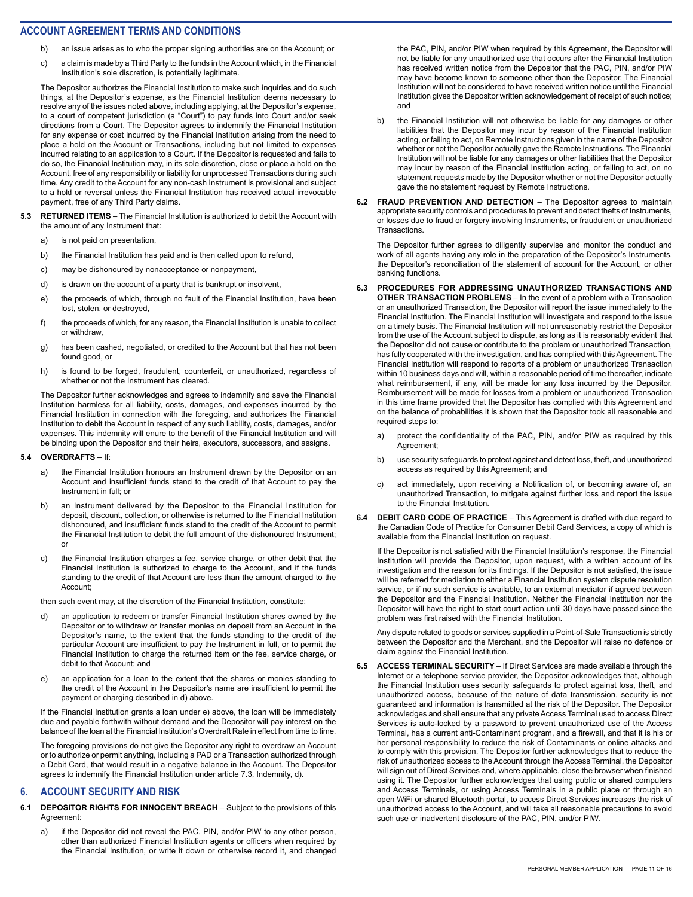- b) an issue arises as to who the proper signing authorities are on the Account; or
- c) a claim is made by a Third Party to the funds in the Account which, in the Financial Institution's sole discretion, is potentially legitimate.

The Depositor authorizes the Financial Institution to make such inquiries and do such things, at the Depositor's expense, as the Financial Institution deems necessary to resolve any of the issues noted above, including applying, at the Depositor's expense, to a court of competent jurisdiction (a "Court") to pay funds into Court and/or seek directions from a Court. The Depositor agrees to indemnify the Financial Institution for any expense or cost incurred by the Financial Institution arising from the need to place a hold on the Account or Transactions, including but not limited to expenses incurred relating to an application to a Court. If the Depositor is requested and fails to do so, the Financial Institution may, in its sole discretion, close or place a hold on the Account, free of any responsibility or liability for unprocessed Transactions during such time. Any credit to the Account for any non-cash Instrument is provisional and subject to a hold or reversal unless the Financial Institution has received actual irrevocable payment, free of any Third Party claims.

- **5.3 RETURNED ITEMS**  The Financial Institution is authorized to debit the Account with the amount of any Instrument that:
	- a) is not paid on presentation,
	- b) the Financial Institution has paid and is then called upon to refund,
	- c) may be dishonoured by nonacceptance or nonpayment,
	- d) is drawn on the account of a party that is bankrupt or insolvent,
	- e) the proceeds of which, through no fault of the Financial Institution, have been lost, stolen, or destroyed,
	- f) the proceeds of which, for any reason, the Financial Institution is unable to collect or withdraw,
	- g) has been cashed, negotiated, or credited to the Account but that has not been found good, or
	- h) is found to be forged, fraudulent, counterfeit, or unauthorized, regardless of whether or not the Instrument has cleared.

The Depositor further acknowledges and agrees to indemnify and save the Financial Institution harmless for all liability, costs, damages, and expenses incurred by the Financial Institution in connection with the foregoing, and authorizes the Financial Institution to debit the Account in respect of any such liability, costs, damages, and/or expenses. This indemnity will enure to the benefit of the Financial Institution and will be binding upon the Depositor and their heirs, executors, successors, and assigns.

#### **5.4 OVERDRAFTS** – If:

- a) the Financial Institution honours an Instrument drawn by the Depositor on an Account and insufficient funds stand to the credit of that Account to pay the Instrument in full; or
- b) an Instrument delivered by the Depositor to the Financial Institution for deposit, discount, collection, or otherwise is returned to the Financial Institution dishonoured, and insufficient funds stand to the credit of the Account to permit the Financial Institution to debit the full amount of the dishonoured Instrument; or
- c) the Financial Institution charges a fee, service charge, or other debit that the Financial Institution is authorized to charge to the Account, and if the funds standing to the credit of that Account are less than the amount charged to the Account;

then such event may, at the discretion of the Financial Institution, constitute:

- d) an application to redeem or transfer Financial Institution shares owned by the Depositor or to withdraw or transfer monies on deposit from an Account in the Depositor's name, to the extent that the funds standing to the credit of the particular Account are insufficient to pay the Instrument in full, or to permit the Financial Institution to charge the returned item or the fee, service charge, or debit to that Account; and
- e) an application for a loan to the extent that the shares or monies standing to the credit of the Account in the Depositor's name are insufficient to permit the payment or charging described in d) above.

If the Financial Institution grants a loan under e) above, the loan will be immediately due and payable forthwith without demand and the Depositor will pay interest on the balance of the loan at the Financial Institution's Overdraft Rate in effect from time to time.

The foregoing provisions do not give the Depositor any right to overdraw an Account or to authorize or permit anything, including a PAD or a Transaction authorized through a Debit Card, that would result in a negative balance in the Account. The Depositor agrees to indemnify the Financial Institution under article 7.3, Indemnity, d).

### **6. ACCOUNT SECURITY AND RISK**

**6.1 DEPOSITOR RIGHTS FOR INNOCENT BREACH** – Subject to the provisions of this Agreement:

a) if the Depositor did not reveal the PAC, PIN, and/or PIW to any other person, other than authorized Financial Institution agents or officers when required by the Financial Institution, or write it down or otherwise record it, and changed

the PAC, PIN, and/or PIW when required by this Agreement, the Depositor will not be liable for any unauthorized use that occurs after the Financial Institution has received written notice from the Depositor that the PAC, PIN, and/or PIW may have become known to someone other than the Depositor. The Financial Institution will not be considered to have received written notice until the Financial Institution gives the Depositor written acknowledgement of receipt of such notice; and

- b) the Financial Institution will not otherwise be liable for any damages or other liabilities that the Depositor may incur by reason of the Financial Institution acting, or failing to act, on Remote Instructions given in the name of the Depositor whether or not the Depositor actually gave the Remote Instructions. The Financial Institution will not be liable for any damages or other liabilities that the Depositor may incur by reason of the Financial Institution acting, or failing to act, on no statement requests made by the Depositor whether or not the Depositor actually gave the no statement request by Remote Instructions.
- **6.2 FRAUD PREVENTION AND DETECTION The Depositor agrees to maintain** appropriate security controls and procedures to prevent and detect thefts of Instruments, or losses due to fraud or forgery involving Instruments, or fraudulent or unauthorized Transactions.

The Depositor further agrees to diligently supervise and monitor the conduct and work of all agents having any role in the preparation of the Depositor's Instruments, the Depositor's reconciliation of the statement of account for the Account, or other banking functions.

#### **6.3 PROCEDURES FOR ADDRESSING UNAUTHORIZED TRANSACTIONS AND OTHER TRANSACTION PROBLEMS** – In the event of a problem with a Transaction or an unauthorized Transaction, the Depositor will report the issue immediately to the

Financial Institution. The Financial Institution will investigate and respond to the issue on a timely basis. The Financial Institution will not unreasonably restrict the Depositor from the use of the Account subject to dispute, as long as it is reasonably evident that the Depositor did not cause or contribute to the problem or unauthorized Transaction, has fully cooperated with the investigation, and has complied with this Agreement. The Financial Institution will respond to reports of a problem or unauthorized Transaction within 10 business days and will, within a reasonable period of time thereafter, indicate what reimbursement, if any, will be made for any loss incurred by the Depositor. Reimbursement will be made for losses from a problem or unauthorized Transaction in this time frame provided that the Depositor has complied with this Agreement and on the balance of probabilities it is shown that the Depositor took all reasonable and required steps to:

- a) protect the confidentiality of the PAC, PIN, and/or PIW as required by this Agreement;
- b) use security safeguards to protect against and detect loss, theft, and unauthorized access as required by this Agreement; and
- c) act immediately, upon receiving a Notification of, or becoming aware of, an unauthorized Transaction, to mitigate against further loss and report the issue to the Financial Institution.
- **6.4 DEBIT CARD CODE OF PRACTICE**  This Agreement is drafted with due regard to the Canadian Code of Practice for Consumer Debit Card Services, a copy of which is available from the Financial Institution on request.

If the Depositor is not satisfied with the Financial Institution's response, the Financial Institution will provide the Depositor, upon request, with a written account of its investigation and the reason for its findings. If the Depositor is not satisfied, the issue will be referred for mediation to either a Financial Institution system dispute resolution service, or if no such service is available, to an external mediator if agreed between the Depositor and the Financial Institution. Neither the Financial Institution nor the Depositor will have the right to start court action until 30 days have passed since the problem was first raised with the Financial Institution.

Any dispute related to goods or services supplied in a Point-of-Sale Transaction is strictly between the Depositor and the Merchant, and the Depositor will raise no defence or claim against the Financial Institution.

**6.5 ACCESS TERMINAL SECURITY** – If Direct Services are made available through the Internet or a telephone service provider, the Depositor acknowledges that, although the Financial Institution uses security safeguards to protect against loss, theft, and unauthorized access, because of the nature of data transmission, security is not guaranteed and information is transmitted at the risk of the Depositor. The Depositor acknowledges and shall ensure that any private Access Terminal used to access Direct Services is auto-locked by a password to prevent unauthorized use of the Access Terminal, has a current anti-Contaminant program, and a firewall, and that it is his or her personal responsibility to reduce the risk of Contaminants or online attacks and to comply with this provision. The Depositor further acknowledges that to reduce the risk of unauthorized access to the Account through the Access Terminal, the Depositor will sign out of Direct Services and, where applicable, close the browser when finished using it. The Depositor further acknowledges that using public or shared computers and Access Terminals, or using Access Terminals in a public place or through an open WiFi or shared Bluetooth portal, to access Direct Services increases the risk of unauthorized access to the Account, and will take all reasonable precautions to avoid such use or inadvertent disclosure of the PAC, PIN, and/or PIW.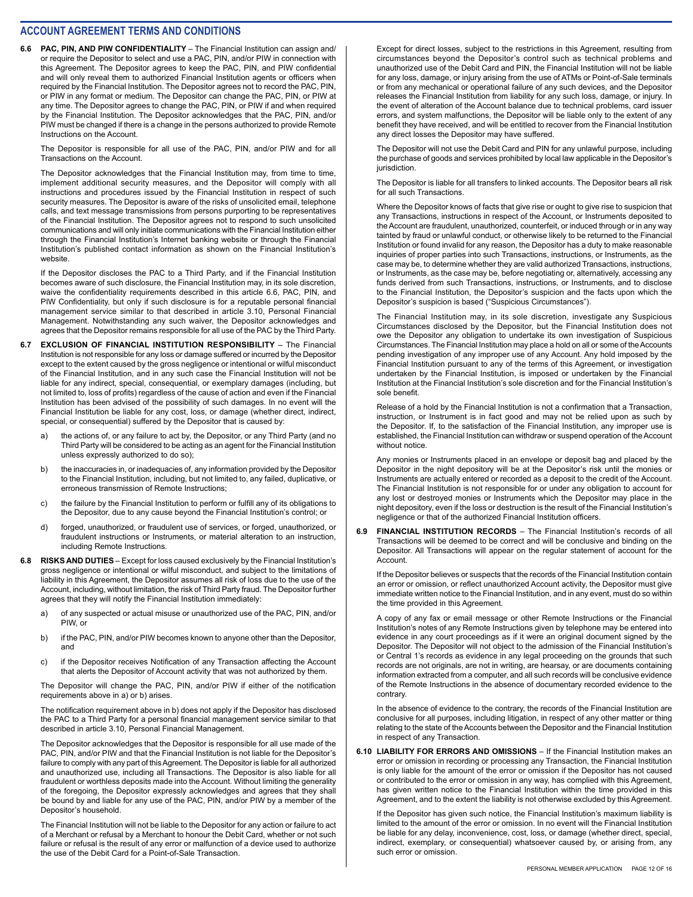**6.6 PAC, PIN, AND PIW CONFIDENTIALITY** – The Financial Institution can assign and/ or require the Depositor to select and use a PAC, PIN, and/or PIW in connection with this Agreement. The Depositor agrees to keep the PAC, PIN, and PIW confidential and will only reveal them to authorized Financial Institution agents or officers when required by the Financial Institution. The Depositor agrees not to record the PAC, PIN, or PIW in any format or medium. The Depositor can change the PAC, PIN, or PIW at any time. The Depositor agrees to change the PAC, PIN, or PIW if and when required by the Financial Institution. The Depositor acknowledges that the PAC, PIN, and/or PIW must be changed if there is a change in the persons authorized to provide Remote Instructions on the Account.

The Depositor is responsible for all use of the PAC, PIN, and/or PIW and for all Transactions on the Account.

The Depositor acknowledges that the Financial Institution may, from time to time, implement additional security measures, and the Depositor will comply with all instructions and procedures issued by the Financial Institution in respect of such security measures. The Depositor is aware of the risks of unsolicited email, telephone calls, and text message transmissions from persons purporting to be representatives of the Financial Institution. The Depositor agrees not to respond to such unsolicited communications and will only initiate communications with the Financial Institution either through the Financial Institution's Internet banking website or through the Financial Institution's published contact information as shown on the Financial Institution's website.

If the Depositor discloses the PAC to a Third Party, and if the Financial Institution becomes aware of such disclosure, the Financial Institution may, in its sole discretion, waive the confidentiality requirements described in this article 6.6, PAC, PIN, and PIW Confidentiality, but only if such disclosure is for a reputable personal financial management service similar to that described in article 3.10, Personal Financial Management. Notwithstanding any such waiver, the Depositor acknowledges and agrees that the Depositor remains responsible for all use of the PAC by the Third Party.

- **6.7 EXCLUSION OF FINANCIAL INSTITUTION RESPONSIBILITY**  The Financial Institution is not responsible for any loss or damage suffered or incurred by the Depositor except to the extent caused by the gross negligence or intentional or wilful misconduct of the Financial Institution, and in any such case the Financial Institution will not be liable for any indirect, special, consequential, or exemplary damages (including, but not limited to, loss of profits) regardless of the cause of action and even if the Financial Institution has been advised of the possibility of such damages. In no event will the Financial Institution be liable for any cost, loss, or damage (whether direct, indirect, special, or consequential) suffered by the Depositor that is caused by:
	- a) the actions of, or any failure to act by, the Depositor, or any Third Party (and no Third Party will be considered to be acting as an agent for the Financial Institution unless expressly authorized to do so);
	- b) the inaccuracies in, or inadequacies of, any information provided by the Depositor to the Financial Institution, including, but not limited to, any failed, duplicative, or erroneous transmission of Remote Instructions;
	- c) the failure by the Financial Institution to perform or fulfill any of its obligations to the Depositor, due to any cause beyond the Financial Institution's control; or
	- d) forged, unauthorized, or fraudulent use of services, or forged, unauthorized, or fraudulent instructions or Instruments, or material alteration to an instruction, including Remote Instructions.
- **6.8 RISKS AND DUTIES**  Except for loss caused exclusively by the Financial Institution's gross negligence or intentional or wilful misconduct, and subject to the limitations of liability in this Agreement, the Depositor assumes all risk of loss due to the use of the Account, including, without limitation, the risk of Third Party fraud. The Depositor further agrees that they will notify the Financial Institution immediately:
	- a) of any suspected or actual misuse or unauthorized use of the PAC, PIN, and/or PIW or
	- b) if the PAC, PIN, and/or PIW becomes known to anyone other than the Depositor, and
	- c) if the Depositor receives Notification of any Transaction affecting the Account that alerts the Depositor of Account activity that was not authorized by them.

The Depositor will change the PAC, PIN, and/or PIW if either of the notification requirements above in a) or b) arises.

The notification requirement above in b) does not apply if the Depositor has disclosed the PAC to a Third Party for a personal financial management service similar to that described in article 3.10, Personal Financial Management.

The Depositor acknowledges that the Depositor is responsible for all use made of the PAC, PIN, and/or PIW and that the Financial Institution is not liable for the Depositor's failure to comply with any part of this Agreement. The Depositor is liable for all authorized and unauthorized use, including all Transactions. The Depositor is also liable for all fraudulent or worthless deposits made into the Account. Without limiting the generality of the foregoing, the Depositor expressly acknowledges and agrees that they shall be bound by and liable for any use of the PAC, PIN, and/or PIW by a member of the Depositor's household.

The Financial Institution will not be liable to the Depositor for any action or failure to act of a Merchant or refusal by a Merchant to honour the Debit Card, whether or not such failure or refusal is the result of any error or malfunction of a device used to authorize the use of the Debit Card for a Point-of-Sale Transaction.

Except for direct losses, subject to the restrictions in this Agreement, resulting from circumstances beyond the Depositor's control such as technical problems and unauthorized use of the Debit Card and PIN, the Financial Institution will not be liable for any loss, damage, or injury arising from the use of ATMs or Point-of-Sale terminals or from any mechanical or operational failure of any such devices, and the Depositor releases the Financial Institution from liability for any such loss, damage, or injury. In the event of alteration of the Account balance due to technical problems, card issuer errors, and system malfunctions, the Depositor will be liable only to the extent of any benefit they have received, and will be entitled to recover from the Financial Institution any direct losses the Depositor may have suffered.

The Depositor will not use the Debit Card and PIN for any unlawful purpose, including the purchase of goods and services prohibited by local law applicable in the Depositor's jurisdiction.

The Depositor is liable for all transfers to linked accounts. The Depositor bears all risk for all such Transactions.

Where the Depositor knows of facts that give rise or ought to give rise to suspicion that any Transactions, instructions in respect of the Account, or Instruments deposited to the Account are fraudulent, unauthorized, counterfeit, or induced through or in any way tainted by fraud or unlawful conduct, or otherwise likely to be returned to the Financial Institution or found invalid for any reason, the Depositor has a duty to make reasonable inquiries of proper parties into such Transactions, instructions, or Instruments, as the case may be, to determine whether they are valid authorized Transactions, instructions, or Instruments, as the case may be, before negotiating or, alternatively, accessing any funds derived from such Transactions, instructions, or Instruments, and to disclose to the Financial Institution, the Depositor's suspicion and the facts upon which the Depositor's suspicion is based ("Suspicious Circumstances").

The Financial Institution may, in its sole discretion, investigate any Suspicious Circumstances disclosed by the Depositor, but the Financial Institution does not owe the Depositor any obligation to undertake its own investigation of Suspicious Circumstances. The Financial Institution may place a hold on all or some of the Accounts pending investigation of any improper use of any Account. Any hold imposed by the Financial Institution pursuant to any of the terms of this Agreement, or investigation undertaken by the Financial Institution, is imposed or undertaken by the Financial Institution at the Financial Institution's sole discretion and for the Financial Institution's sole benefit.

Release of a hold by the Financial Institution is not a confirmation that a Transaction, instruction, or Instrument is in fact good and may not be relied upon as such by the Depositor. If, to the satisfaction of the Financial Institution, any improper use is established, the Financial Institution can withdraw or suspend operation of the Account without notice.

Any monies or Instruments placed in an envelope or deposit bag and placed by the Depositor in the night depository will be at the Depositor's risk until the monies or Instruments are actually entered or recorded as a deposit to the credit of the Account. The Financial Institution is not responsible for or under any obligation to account for any lost or destroyed monies or Instruments which the Depositor may place in the night depository, even if the loss or destruction is the result of the Financial Institution's negligence or that of the authorized Financial Institution officers.

**6.9 FINANCIAL INSTITUTION RECORDS** – The Financial Institution's records of all Transactions will be deemed to be correct and will be conclusive and binding on the Depositor. All Transactions will appear on the regular statement of account for the Account.

If the Depositor believes or suspects that the records of the Financial Institution contain an error or omission, or reflect unauthorized Account activity, the Depositor must give immediate written notice to the Financial Institution, and in any event, must do so within the time provided in this Agreement.

A copy of any fax or email message or other Remote Instructions or the Financial Institution's notes of any Remote Instructions given by telephone may be entered into evidence in any court proceedings as if it were an original document signed by the Depositor. The Depositor will not object to the admission of the Financial Institution's or Central 1's records as evidence in any legal proceeding on the grounds that such records are not originals, are not in writing, are hearsay, or are documents containing information extracted from a computer, and all such records will be conclusive evidence of the Remote Instructions in the absence of documentary recorded evidence to the contrary.

In the absence of evidence to the contrary, the records of the Financial Institution are conclusive for all purposes, including litigation, in respect of any other matter or thing relating to the state of the Accounts between the Depositor and the Financial Institution in respect of any Transaction.

**6.10 LIABILITY FOR ERRORS AND OMISSIONS** – If the Financial Institution makes an error or omission in recording or processing any Transaction, the Financial Institution is only liable for the amount of the error or omission if the Depositor has not caused or contributed to the error or omission in any way, has complied with this Agreement, has given written notice to the Financial Institution within the time provided in this Agreement, and to the extent the liability is not otherwise excluded by this Agreement.

If the Depositor has given such notice, the Financial Institution's maximum liability is limited to the amount of the error or omission. In no event will the Financial Institution be liable for any delay, inconvenience, cost, loss, or damage (whether direct, special, indirect, exemplary, or consequential) whatsoever caused by, or arising from, any such error or omission.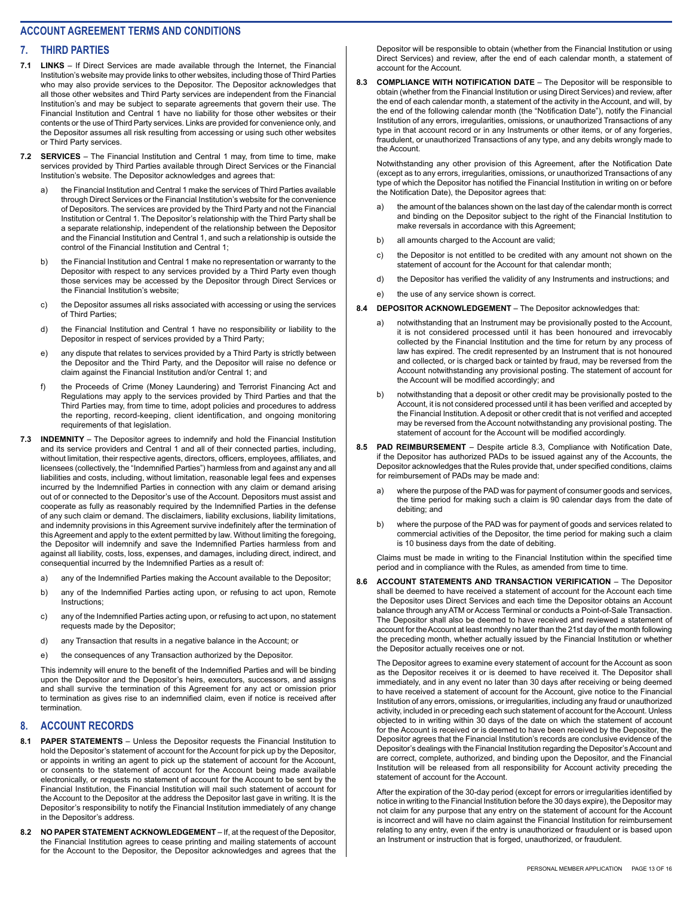#### **7. THIRD PARTIES**

- **7.1 LINKS**  If Direct Services are made available through the Internet, the Financial Institution's website may provide links to other websites, including those of Third Parties who may also provide services to the Depositor. The Depositor acknowledges that all those other websites and Third Party services are independent from the Financial Institution's and may be subject to separate agreements that govern their use. The Financial Institution and Central 1 have no liability for those other websites or their contents or the use of Third Party services. Links are provided for convenience only, and the Depositor assumes all risk resulting from accessing or using such other websites or Third Party services.
- **7.2 SERVICES**  The Financial Institution and Central 1 may, from time to time, make services provided by Third Parties available through Direct Services or the Financial Institution's website. The Depositor acknowledges and agrees that:
	- the Financial Institution and Central 1 make the services of Third Parties available through Direct Services or the Financial Institution's website for the convenience of Depositors. The services are provided by the Third Party and not the Financial Institution or Central 1. The Depositor's relationship with the Third Party shall be a separate relationship, independent of the relationship between the Depositor and the Financial Institution and Central 1, and such a relationship is outside the control of the Financial Institution and Central 1;
	- b) the Financial Institution and Central 1 make no representation or warranty to the Depositor with respect to any services provided by a Third Party even though those services may be accessed by the Depositor through Direct Services or the Financial Institution's website;
	- c) the Depositor assumes all risks associated with accessing or using the services of Third Parties;
	- d) the Financial Institution and Central 1 have no responsibility or liability to the Depositor in respect of services provided by a Third Party;
	- e) any dispute that relates to services provided by a Third Party is strictly between the Depositor and the Third Party, and the Depositor will raise no defence or claim against the Financial Institution and/or Central 1; and
	- f) the Proceeds of Crime (Money Laundering) and Terrorist Financing Act and Regulations may apply to the services provided by Third Parties and that the Third Parties may, from time to time, adopt policies and procedures to address the reporting, record-keeping, client identification, and ongoing monitoring requirements of that legislation.
- **7.3 INDEMNITY** The Depositor agrees to indemnify and hold the Financial Institution and its service providers and Central 1 and all of their connected parties, including, without limitation, their respective agents, directors, officers, employees, affiliates, and licensees (collectively, the "Indemnified Parties") harmless from and against any and all liabilities and costs, including, without limitation, reasonable legal fees and expenses incurred by the Indemnified Parties in connection with any claim or demand arising out of or connected to the Depositor's use of the Account. Depositors must assist and cooperate as fully as reasonably required by the Indemnified Parties in the defense of any such claim or demand. The disclaimers, liability exclusions, liability limitations, and indemnity provisions in this Agreement survive indefinitely after the termination of this Agreement and apply to the extent permitted by law. Without limiting the foregoing, the Depositor will indemnify and save the Indemnified Parties harmless from and against all liability, costs, loss, expenses, and damages, including direct, indirect, and consequential incurred by the Indemnified Parties as a result of:
	- a) any of the Indemnified Parties making the Account available to the Depositor;
	- b) any of the Indemnified Parties acting upon, or refusing to act upon, Remote Instructions;
	- c) any of the Indemnified Parties acting upon, or refusing to act upon, no statement requests made by the Depositor;
	- d) any Transaction that results in a negative balance in the Account; or
	- e) the consequences of any Transaction authorized by the Depositor.

This indemnity will enure to the benefit of the Indemnified Parties and will be binding upon the Depositor and the Depositor's heirs, executors, successors, and assigns and shall survive the termination of this Agreement for any act or omission prior to termination as gives rise to an indemnified claim, even if notice is received after termination.

# **8. ACCOUNT RECORDS**

- **8.1 PAPER STATEMENTS**  Unless the Depositor requests the Financial Institution to hold the Depositor's statement of account for the Account for pick up by the Depositor, or appoints in writing an agent to pick up the statement of account for the Account, or consents to the statement of account for the Account being made available electronically, or requests no statement of account for the Account to be sent by the Financial Institution, the Financial Institution will mail such statement of account for the Account to the Depositor at the address the Depositor last gave in writing. It is the Depositor's responsibility to notify the Financial Institution immediately of any change in the Depositor's address.
- **8.2 NO PAPER STATEMENT ACKNOWLEDGEMENT**  If, at the request of the Depositor, the Financial Institution agrees to cease printing and mailing statements of account for the Account to the Depositor, the Depositor acknowledges and agrees that the

Depositor will be responsible to obtain (whether from the Financial Institution or using Direct Services) and review, after the end of each calendar month, a statement of account for the Account.

**8.3 COMPLIANCE WITH NOTIFICATION DATE** – The Depositor will be responsible to obtain (whether from the Financial Institution or using Direct Services) and review, after the end of each calendar month, a statement of the activity in the Account, and will, by the end of the following calendar month (the "Notification Date"), notify the Financial Institution of any errors, irregularities, omissions, or unauthorized Transactions of any type in that account record or in any Instruments or other items, or of any forgeries, fraudulent, or unauthorized Transactions of any type, and any debits wrongly made to the Account.

Notwithstanding any other provision of this Agreement, after the Notification Date (except as to any errors, irregularities, omissions, or unauthorized Transactions of any type of which the Depositor has notified the Financial Institution in writing on or before the Notification Date), the Depositor agrees that:

- a) the amount of the balances shown on the last day of the calendar month is correct and binding on the Depositor subject to the right of the Financial Institution to make reversals in accordance with this Agreement;
- b) all amounts charged to the Account are valid:
- c) the Depositor is not entitled to be credited with any amount not shown on the statement of account for the Account for that calendar month;
- d) the Depositor has verified the validity of any Instruments and instructions; and
- e) the use of any service shown is correct.
- **8.4 DEPOSITOR ACKNOWLEDGEMENT**  The Depositor acknowledges that:
	- a) notwithstanding that an Instrument may be provisionally posted to the Account, it is not considered processed until it has been honoured and irrevocably collected by the Financial Institution and the time for return by any process of law has expired. The credit represented by an Instrument that is not honoured and collected, or is charged back or tainted by fraud, may be reversed from the Account notwithstanding any provisional posting. The statement of account for the Account will be modified accordingly; and
	- b) notwithstanding that a deposit or other credit may be provisionally posted to the Account, it is not considered processed until it has been verified and accepted by the Financial Institution. A deposit or other credit that is not verified and accepted may be reversed from the Account notwithstanding any provisional posting. The statement of account for the Account will be modified accordingly.
- **8.5 PAD REIMBURSEMENT**  Despite article 8.3, Compliance with Notification Date, if the Depositor has authorized PADs to be issued against any of the Accounts, the Depositor acknowledges that the Rules provide that, under specified conditions, claims for reimbursement of PADs may be made and:
	- a) where the purpose of the PAD was for payment of consumer goods and services, the time period for making such a claim is 90 calendar days from the date of debiting; and
	- b) where the purpose of the PAD was for payment of goods and services related to commercial activities of the Depositor, the time period for making such a claim is 10 business days from the date of debiting.

Claims must be made in writing to the Financial Institution within the specified time period and in compliance with the Rules, as amended from time to time.

**8.6 ACCOUNT STATEMENTS AND TRANSACTION VERIFICATION** – The Depositor shall be deemed to have received a statement of account for the Account each time the Depositor uses Direct Services and each time the Depositor obtains an Account balance through any ATM or Access Terminal or conducts a Point-of-Sale Transaction. The Depositor shall also be deemed to have received and reviewed a statement of account for the Account at least monthly no later than the 21st day of the month following the preceding month, whether actually issued by the Financial Institution or whether the Depositor actually receives one or not.

The Depositor agrees to examine every statement of account for the Account as soon as the Depositor receives it or is deemed to have received it. The Depositor shall immediately, and in any event no later than 30 days after receiving or being deemed to have received a statement of account for the Account, give notice to the Financial Institution of any errors, omissions, or irregularities, including any fraud or unauthorized activity, included in or preceding each such statement of account for the Account. Unless objected to in writing within 30 days of the date on which the statement of account for the Account is received or is deemed to have been received by the Depositor, the Depositor agrees that the Financial Institution's records are conclusive evidence of the Depositor's dealings with the Financial Institution regarding the Depositor's Account and are correct, complete, authorized, and binding upon the Depositor, and the Financial Institution will be released from all responsibility for Account activity preceding the statement of account for the Account.

After the expiration of the 30-day period (except for errors or irregularities identified by notice in writing to the Financial Institution before the 30 days expire), the Depositor may not claim for any purpose that any entry on the statement of account for the Account is incorrect and will have no claim against the Financial Institution for reimbursement relating to any entry, even if the entry is unauthorized or fraudulent or is based upon an Instrument or instruction that is forged, unauthorized, or fraudulent.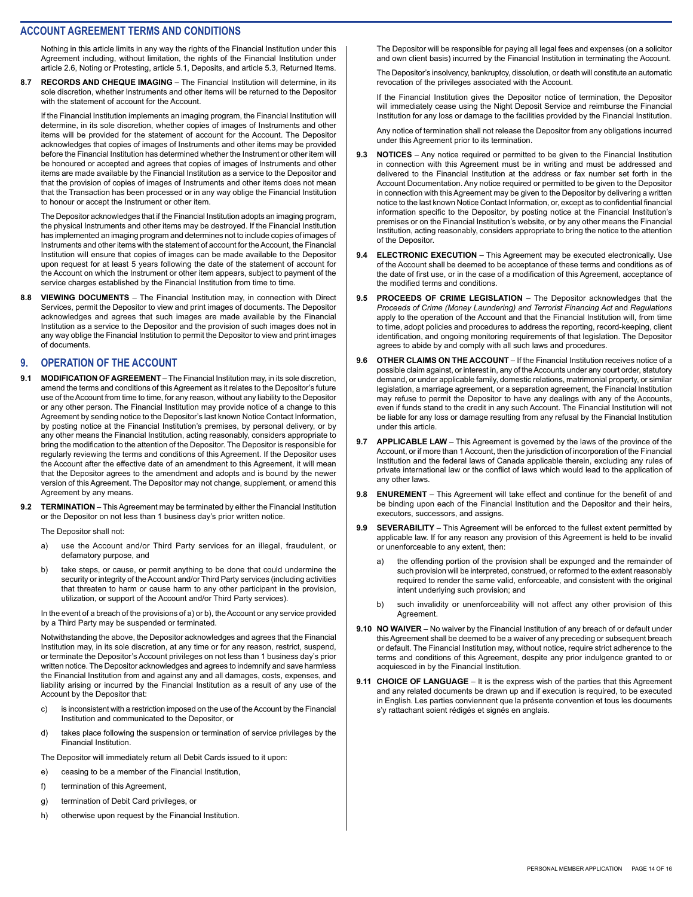Nothing in this article limits in any way the rights of the Financial Institution under this Agreement including, without limitation, the rights of the Financial Institution under article 2.6, Noting or Protesting, article 5.1, Deposits, and article 5.3, Returned Items.

**8.7 RECORDS AND CHEQUE IMAGING** – The Financial Institution will determine, in its sole discretion, whether Instruments and other items will be returned to the Depositor with the statement of account for the Account.

If the Financial Institution implements an imaging program, the Financial Institution will determine, in its sole discretion, whether copies of images of Instruments and other items will be provided for the statement of account for the Account. The Depositor acknowledges that copies of images of Instruments and other items may be provided before the Financial Institution has determined whether the Instrument or other item will be honoured or accepted and agrees that copies of images of Instruments and other items are made available by the Financial Institution as a service to the Depositor and that the provision of copies of images of Instruments and other items does not mean that the Transaction has been processed or in any way oblige the Financial Institution to honour or accept the Instrument or other item.

The Depositor acknowledges that if the Financial Institution adopts an imaging program, the physical Instruments and other items may be destroyed. If the Financial Institution has implemented an imaging program and determines not to include copies of images of Instruments and other items with the statement of account for the Account, the Financial Institution will ensure that copies of images can be made available to the Depositor upon request for at least 5 years following the date of the statement of account for the Account on which the Instrument or other item appears, subject to payment of the service charges established by the Financial Institution from time to time.

**8.8 VIEWING DOCUMENTS** – The Financial Institution may, in connection with Direct Services, permit the Depositor to view and print images of documents. The Depositor acknowledges and agrees that such images are made available by the Financial Institution as a service to the Depositor and the provision of such images does not in any way oblige the Financial Institution to permit the Depositor to view and print images of documents.

#### **9. OPERATION OF THE ACCOUNT**

- **9.1 MODIFICATION OF AGREEMENT**  The Financial Institution may, in its sole discretion, amend the terms and conditions of this Agreement as it relates to the Depositor's future use of the Account from time to time, for any reason, without any liability to the Depositor or any other person. The Financial Institution may provide notice of a change to this Agreement by sending notice to the Depositor's last known Notice Contact Information, by posting notice at the Financial Institution's premises, by personal delivery, or by any other means the Financial Institution, acting reasonably, considers appropriate to bring the modification to the attention of the Depositor. The Depositor is responsible for regularly reviewing the terms and conditions of this Agreement. If the Depositor uses the Account after the effective date of an amendment to this Agreement, it will mean that the Depositor agrees to the amendment and adopts and is bound by the newer version of this Agreement. The Depositor may not change, supplement, or amend this Agreement by any means.
- **9.2 TERMINATION** This Agreement may be terminated by either the Financial Institution or the Depositor on not less than 1 business day's prior written notice.

The Depositor shall not:

- a) use the Account and/or Third Party services for an illegal, fraudulent, or defamatory purpose, and
- b) take steps, or cause, or permit anything to be done that could undermine the security or integrity of the Account and/or Third Party services (including activities that threaten to harm or cause harm to any other participant in the provision, utilization, or support of the Account and/or Third Party services).

In the event of a breach of the provisions of a) or b), the Account or any service provided by a Third Party may be suspended or terminated.

Notwithstanding the above, the Depositor acknowledges and agrees that the Financial Institution may, in its sole discretion, at any time or for any reason, restrict, suspend, or terminate the Depositor's Account privileges on not less than 1 business day's prior written notice. The Depositor acknowledges and agrees to indemnify and save harmless the Financial Institution from and against any and all damages, costs, expenses, and liability arising or incurred by the Financial Institution as a result of any use of the Account by the Depositor that:

- c) is inconsistent with a restriction imposed on the use of the Account by the Financial Institution and communicated to the Depositor, or
- d) takes place following the suspension or termination of service privileges by the Financial Institution.

The Depositor will immediately return all Debit Cards issued to it upon:

- e) ceasing to be a member of the Financial Institution,
- f) termination of this Agreement,
- g) termination of Debit Card privileges, or
- h) otherwise upon request by the Financial Institution.

The Depositor will be responsible for paying all legal fees and expenses (on a solicitor and own client basis) incurred by the Financial Institution in terminating the Account.

The Depositor's insolvency, bankruptcy, dissolution, or death will constitute an automatic revocation of the privileges associated with the Account.

If the Financial Institution gives the Depositor notice of termination, the Depositor will immediately cease using the Night Deposit Service and reimburse the Financial Institution for any loss or damage to the facilities provided by the Financial Institution.

Any notice of termination shall not release the Depositor from any obligations incurred under this Agreement prior to its termination.

- **9.3 NOTICES**  Any notice required or permitted to be given to the Financial Institution in connection with this Agreement must be in writing and must be addressed and delivered to the Financial Institution at the address or fax number set forth in the Account Documentation. Any notice required or permitted to be given to the Depositor in connection with this Agreement may be given to the Depositor by delivering a written notice to the last known Notice Contact Information, or, except as to confidential financial information specific to the Depositor, by posting notice at the Financial Institution's premises or on the Financial Institution's website, or by any other means the Financial Institution, acting reasonably, considers appropriate to bring the notice to the attention of the Depositor.
- 9.4 **ELECTRONIC EXECUTION** This Agreement may be executed electronically. Use of the Account shall be deemed to be acceptance of these terms and conditions as of the date of first use, or in the case of a modification of this Agreement, acceptance of the modified terms and conditions.
- **9.5 PROCEEDS OF CRIME LEGISLATION**  The Depositor acknowledges that the *Proceeds of Crime (Money Laundering) and Terrorist Financing Act* and *Regulations*  apply to the operation of the Account and that the Financial Institution will, from time to time, adopt policies and procedures to address the reporting, record-keeping, client identification, and ongoing monitoring requirements of that legislation. The Depositor agrees to abide by and comply with all such laws and procedures.
- 9.6 **OTHER CLAIMS ON THE ACCOUNT** If the Financial Institution receives notice of a possible claim against, or interest in, any of the Accounts under any court order, statutory demand, or under applicable family, domestic relations, matrimonial property, or similar legislation, a marriage agreement, or a separation agreement, the Financial Institution may refuse to permit the Depositor to have any dealings with any of the Accounts, even if funds stand to the credit in any such Account. The Financial Institution will not be liable for any loss or damage resulting from any refusal by the Financial Institution under this article.
- **9.7 APPLICABLE LAW**  This Agreement is governed by the laws of the province of the Account, or if more than 1 Account, then the jurisdiction of incorporation of the Financial Institution and the federal laws of Canada applicable therein, excluding any rules of private international law or the conflict of laws which would lead to the application of any other laws.
- **9.8 ENUREMENT**  This Agreement will take effect and continue for the benefit of and be binding upon each of the Financial Institution and the Depositor and their heirs, executors, successors, and assigns.
- **9.9 SEVERABILITY** This Agreement will be enforced to the fullest extent permitted by applicable law. If for any reason any provision of this Agreement is held to be invalid or unenforceable to any extent, then:
	- a) the offending portion of the provision shall be expunged and the remainder of such provision will be interpreted, construed, or reformed to the extent reasonably required to render the same valid, enforceable, and consistent with the original intent underlying such provision; and
	- b) such invalidity or unenforceability will not affect any other provision of this **Agreement**
- **9.10 NO WAIVER**  No waiver by the Financial Institution of any breach of or default under this Agreement shall be deemed to be a waiver of any preceding or subsequent breach or default. The Financial Institution may, without notice, require strict adherence to the terms and conditions of this Agreement, despite any prior indulgence granted to or acquiesced in by the Financial Institution.
- **9.11 CHOICE OF LANGUAGE** It is the express wish of the parties that this Agreement and any related documents be drawn up and if execution is required, to be executed in English. Les parties conviennent que la présente convention et tous les documents s'y rattachant soient rédigés et signés en anglais.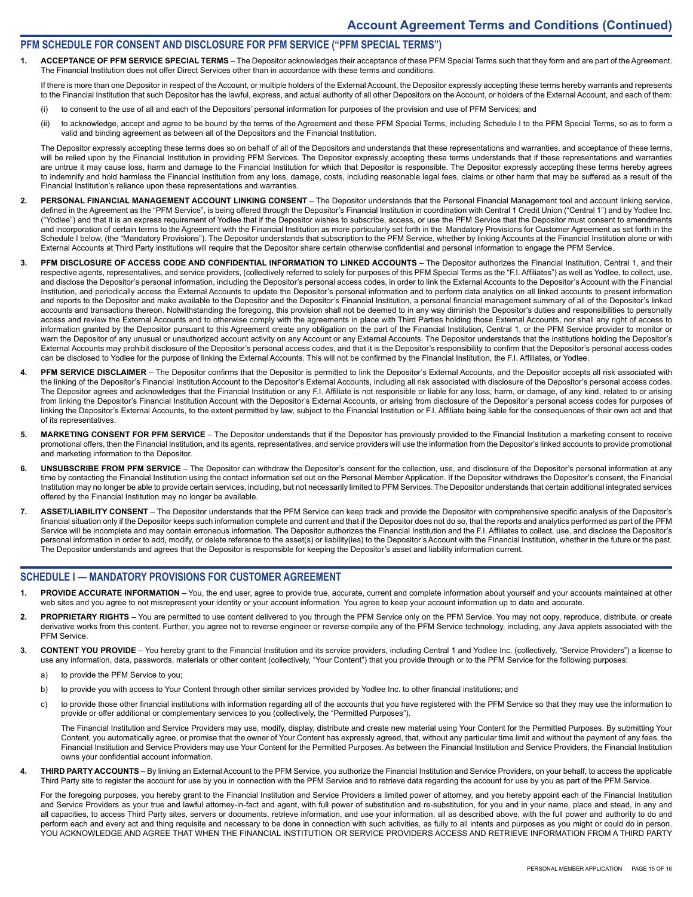### **PFM SCHEDULE FOR CONSENT AND DISCLOSURE FOR PFM SERVICE ("PFM SPECIAL TERMS")**

**1. ACCEPTANCE OF PFM SERVICE SPECIAL TERMS** – The Depositor acknowledges their acceptance of these PFM Special Terms such that they form and are part of the Agreement. The Financial Institution does not offer Direct Services other than in accordance with these terms and conditions.

If there is more than one Depositor in respect of the Account, or multiple holders of the External Account, the Depositor expressly accepting these terms hereby warrants and represents to the Financial Institution that such Depositor has the lawful, express, and actual authority of all other Depositors on the Account, or holders of the External Account, and each of them:

- (i) to consent to the use of all and each of the Depositors' personal information for purposes of the provision and use of PFM Services; and
- (ii) to acknowledge, accept and agree to be bound by the terms of the Agreement and these PFM Special Terms, including Schedule I to the PFM Special Terms, so as to form a valid and binding agreement as between all of the Depositors and the Financial Institution.

The Depositor expressly accepting these terms does so on behalf of all of the Depositors and understands that these representations and warranties, and acceptance of these terms, will be relied upon by the Financial Institution in providing PFM Services. The Depositor expressly accepting these terms understands that if these representations and warranties are untrue it may cause loss, harm and damage to the Financial Institution for which that Depositor is responsible. The Depositor expressly accepting these terms hereby agrees to indemnify and hold harmless the Financial Institution from any loss, damage, costs, including reasonable legal fees, claims or other harm that may be suffered as a result of the Financial Institution's reliance upon these representations and warranties.

- PERSONAL FINANCIAL MANAGEMENT ACCOUNT LINKING CONSENT The Depositor understands that the Personal Financial Management tool and account linking service, defined in the Agreement as the "PFM Service", is being offered through the Depositor's Financial Institution in coordination with Central 1 Credit Union ("Central 1") and by Yodlee Inc. ("Yodlee") and that it is an express requirement of Yodlee that if the Depositor wishes to subscribe, access, or use the PFM Service that the Depositor must consent to amendments and incorporation of certain terms to the Agreement with the Financial Institution as more particularly set forth in the Mandatory Provisions for Customer Agreement as set forth in the Schedule I below, (the "Mandatory Provisions"). The Depositor understands that subscription to the PFM Service, whether by linking Accounts at the Financial Institution alone or with External Accounts at Third Party institutions will require that the Depositor share certain otherwise confidential and personal information to engage the PFM Service.
- 3. PFM DISCLOSURE OF ACCESS CODE AND CONFIDENTIAL INFORMATION TO LINKED ACCOUNTS The Depositor authorizes the Financial Institution, Central 1, and their respective agents, representatives, and service providers, (collectively referred to solely for purposes of this PFM Special Terms as the "F.I. Affiliates") as well as Yodlee, to collect, use, and disclose the Depositor's personal information, including the Depositor's personal access codes, in order to link the External Accounts to the Depositor's Account with the Financial Institution, and periodically access the External Accounts to update the Depositor's personal information and to perform data analytics on all linked accounts to present information and reports to the Depositor and make available to the Depositor and the Depositor's Financial Institution, a personal financial management summary of all of the Depositor's linked accounts and transactions thereon. Notwithstanding the foregoing, this provision shall not be deemed to in any way diminish the Depositor's duties and responsibilities to personally access and review the External Accounts and to otherwise comply with the agreements in place with Third Parties holding those External Accounts, nor shall any right of access to information granted by the Depositor pursuant to this Agreement create any obligation on the part of the Financial Institution, Central 1, or the PFM Service provider to monitor or warn the Depositor of any unusual or unauthorized account activity on any Account or any External Accounts. The Depositor understands that the institutions holding the Depositor's External Accounts may prohibit disclosure of the Depositor's personal access codes, and that it is the Depositor's responsibility to confirm that the Depositor's personal access codes can be disclosed to Yodlee for the purpose of linking the External Accounts. This will not be confirmed by the Financial Institution, the F.I. Affiliates, or Yodlee.
- 4. PFM SERVICE DISCLAIMER The Depositor confirms that the Depositor is permitted to link the Depositor's External Accounts, and the Depositor accepts all risk associated with the linking of the Depositor's Financial Institution Account to the Depositor's External Accounts, including all risk associated with disclosure of the Depositor's personal access codes. The Depositor agrees and acknowledges that the Financial Institution or any F.I. Affiliate is not responsible or liable for any loss, harm, or damage, of any kind, related to or arising from linking the Depositor's Financial Institution Account with the Depositor's External Accounts, or arising from disclosure of the Depositor's personal access codes for purposes of linking the Depositor's External Accounts, to the extent permitted by law, subject to the Financial Institution or F.I. Affiliate being liable for the consequences of their own act and that of its representatives.
- 5. MARKETING CONSENT FOR PFM SERVICE The Depositor understands that if the Depositor has previously provided to the Financial Institution a marketing consent to receive promotional offers, then the Financial Institution, and its agents, representatives, and service providers will use the information from the Depositor's linked accounts to provide promotional and marketing information to the Depositor.
- UNSUBSCRIBE FROM PFM SERVICE The Depositor can withdraw the Depositor's consent for the collection, use, and disclosure of the Depositor's personal information at any time by contacting the Financial Institution using the contact information set out on the Personal Member Application. If the Depositor withdraws the Depositor's consent, the Financial Institution may no longer be able to provide certain services, including, but not necessarily limited to PFM Services. The Depositor understands that certain additional integrated services offered by the Financial Institution may no longer be available.
- **7. ASSET/LIABILITY CONSENT**  The Depositor understands that the PFM Service can keep track and provide the Depositor with comprehensive specific analysis of the Depositor's financial situation only if the Depositor keeps such information complete and current and that if the Depositor does not do so, that the reports and analytics performed as part of the PFM Service will be incomplete and may contain erroneous information. The Depositor authorizes the Financial Institution and the F.I. Affiliates to collect, use, and disclose the Depositor's personal information in order to add, modify, or delete reference to the asset(s) or liability(ies) to the Depositor's Account with the Financial Institution, whether in the future or the past. The Depositor understands and agrees that the Depositor is responsible for keeping the Depositor's asset and liability information current.

#### **SCHEDULE I — MANDATORY PROVISIONS FOR CUSTOMER AGREEMENT**

- **PROVIDE ACCURATE INFORMATION** You, the end user, agree to provide true, accurate, current and complete information about yourself and your accounts maintained at other web sites and you agree to not misrepresent your identity or your account information. You agree to keep your account information up to date and accurate.
- 2. PROPRIETARY RIGHTS You are permitted to use content delivered to you through the PFM Service only on the PFM Service. You may not copy, reproduce, distribute, or create derivative works from this content. Further, you agree not to reverse engineer or reverse compile any of the PFM Service technology, including, any Java applets associated with the PFM Service.
- **3. CONTENT YOU PROVIDE**  You hereby grant to the Financial Institution and its service providers, including Central 1 and Yodlee Inc. (collectively, "Service Providers") a license to use any information, data, passwords, materials or other content (collectively, "Your Content") that you provide through or to the PFM Service for the following purposes:
	- a) to provide the PFM Service to you;
	- b) to provide you with access to Your Content through other similar services provided by Yodlee Inc. to other financial institutions; and
	- c) to provide those other financial institutions with information regarding all of the accounts that you have registered with the PFM Service so that they may use the information to provide or offer additional or complementary services to you (collectively, the "Permitted Purposes").

The Financial Institution and Service Providers may use, modify, display, distribute and create new material using Your Content for the Permitted Purposes. By submitting Your Content, you automatically agree, or promise that the owner of Your Content has expressly agreed, that, without any particular time limit and without the payment of any fees, the Financial Institution and Service Providers may use Your Content for the Permitted Purposes. As between the Financial Institution and Service Providers, the Financial Institution owns your confidential account information.

**4. THIRD PARTY ACCOUNTS** – By linking an External Account to the PFM Service, you authorize the Financial Institution and Service Providers, on your behalf, to access the applicable Third Party site to register the account for use by you in connection with the PFM Service and to retrieve data regarding the account for use by you as part of the PFM Service.

For the foregoing purposes, you hereby grant to the Financial Institution and Service Providers a limited power of attorney, and you hereby appoint each of the Financial Institution and Service Providers as your true and lawful attorney-in-fact and agent, with full power of substitution and re-substitution, for you and in your name, place and stead, in any and all capacities, to access Third Party sites, servers or documents, retrieve information, and use your information, all as described above, with the full power and authority to do and perform each and every act and thing requisite and necessary to be done in connection with such activities, as fully to all intents and purposes as you might or could do in person. YOU ACKNOWLEDGE AND AGREE THAT WHEN THE FINANCIAL INSTITUTION OR SERVICE PROVIDERS ACCESS AND RETRIEVE INFORMATION FROM A THIRD PARTY